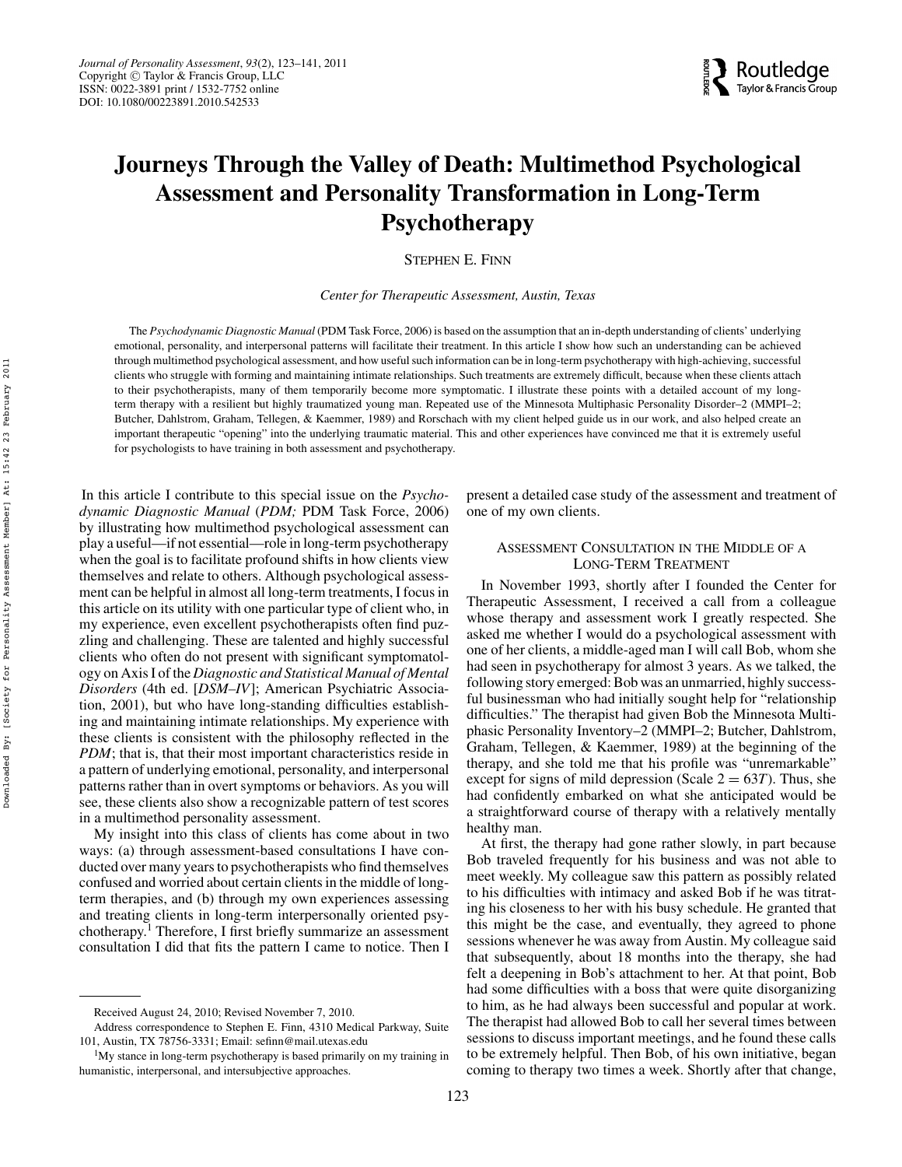# **Journeys Through the Valley of Death: Multimethod Psychological Assessment and Personality Transformation in Long-Term Psychotherapy**

STEPHEN E. FINN

*Center for Therapeutic Assessment, Austin, Texas*

The *Psychodynamic Diagnostic Manual* (PDM Task Force, 2006) is based on the assumption that an in-depth understanding of clients' underlying emotional, personality, and interpersonal patterns will facilitate their treatment. In this article I show how such an understanding can be achieved through multimethod psychological assessment, and how useful such information can be in long-term psychotherapy with high-achieving, successful clients who struggle with forming and maintaining intimate relationships. Such treatments are extremely difficult, because when these clients attach to their psychotherapists, many of them temporarily become more symptomatic. I illustrate these points with a detailed account of my longterm therapy with a resilient but highly traumatized young man. Repeated use of the Minnesota Multiphasic Personality Disorder–2 (MMPI–2; Butcher, Dahlstrom, Graham, Tellegen, & Kaemmer, 1989) and Rorschach with my client helped guide us in our work, and also helped create an important therapeutic "opening" into the underlying traumatic material. This and other experiences have convinced me that it is extremely useful for psychologists to have training in both assessment and psychotherapy.

In this article I contribute to this special issue on the *Psychodynamic Diagnostic Manual* (*PDM;* PDM Task Force, 2006) by illustrating how multimethod psychological assessment can play a useful—if not essential—role in long-term psychotherapy when the goal is to facilitate profound shifts in how clients view themselves and relate to others. Although psychological assessment can be helpful in almost all long-term treatments, I focus in this article on its utility with one particular type of client who, in my experience, even excellent psychotherapists often find puzzling and challenging. These are talented and highly successful clients who often do not present with significant symptomatology on Axis I of the *Diagnostic and Statistical Manual of Mental Disorders* (4th ed. [*DSM–IV*]; American Psychiatric Association, 2001), but who have long-standing difficulties establishing and maintaining intimate relationships. My experience with these clients is consistent with the philosophy reflected in the *PDM*; that is, that their most important characteristics reside in a pattern of underlying emotional, personality, and interpersonal patterns rather than in overt symptoms or behaviors. As you will see, these clients also show a recognizable pattern of test scores in a multimethod personality assessment.

My insight into this class of clients has come about in two ways: (a) through assessment-based consultations I have conducted over many years to psychotherapists who find themselves confused and worried about certain clients in the middle of longterm therapies, and (b) through my own experiences assessing and treating clients in long-term interpersonally oriented psychotherapy.<sup>1</sup> Therefore, I first briefly summarize an assessment consultation I did that fits the pattern I came to notice. Then I

present a detailed case study of the assessment and treatment of one of my own clients.

## ASSESSMENT CONSULTATION IN THE MIDDLE OF A LONG-TERM TREATMENT

In November 1993, shortly after I founded the Center for Therapeutic Assessment, I received a call from a colleague whose therapy and assessment work I greatly respected. She asked me whether I would do a psychological assessment with one of her clients, a middle-aged man I will call Bob, whom she had seen in psychotherapy for almost 3 years. As we talked, the following story emerged: Bob was an unmarried, highly successful businessman who had initially sought help for "relationship difficulties." The therapist had given Bob the Minnesota Multiphasic Personality Inventory–2 (MMPI–2; Butcher, Dahlstrom, Graham, Tellegen, & Kaemmer, 1989) at the beginning of the therapy, and she told me that his profile was "unremarkable" except for signs of mild depression (Scale  $2 = 63T$ ). Thus, she had confidently embarked on what she anticipated would be a straightforward course of therapy with a relatively mentally healthy man.

At first, the therapy had gone rather slowly, in part because Bob traveled frequently for his business and was not able to meet weekly. My colleague saw this pattern as possibly related to his difficulties with intimacy and asked Bob if he was titrating his closeness to her with his busy schedule. He granted that this might be the case, and eventually, they agreed to phone sessions whenever he was away from Austin. My colleague said that subsequently, about 18 months into the therapy, she had felt a deepening in Bob's attachment to her. At that point, Bob had some difficulties with a boss that were quite disorganizing to him, as he had always been successful and popular at work. The therapist had allowed Bob to call her several times between sessions to discuss important meetings, and he found these calls to be extremely helpful. Then Bob, of his own initiative, began coming to therapy two times a week. Shortly after that change,

Received August 24, 2010; Revised November 7, 2010.

Address correspondence to Stephen E. Finn, 4310 Medical Parkway, Suite 101, Austin, TX 78756-3331; Email: sefinn@mail.utexas.edu

<sup>&</sup>lt;sup>1</sup>My stance in long-term psychotherapy is based primarily on my training in humanistic, interpersonal, and intersubjective approaches.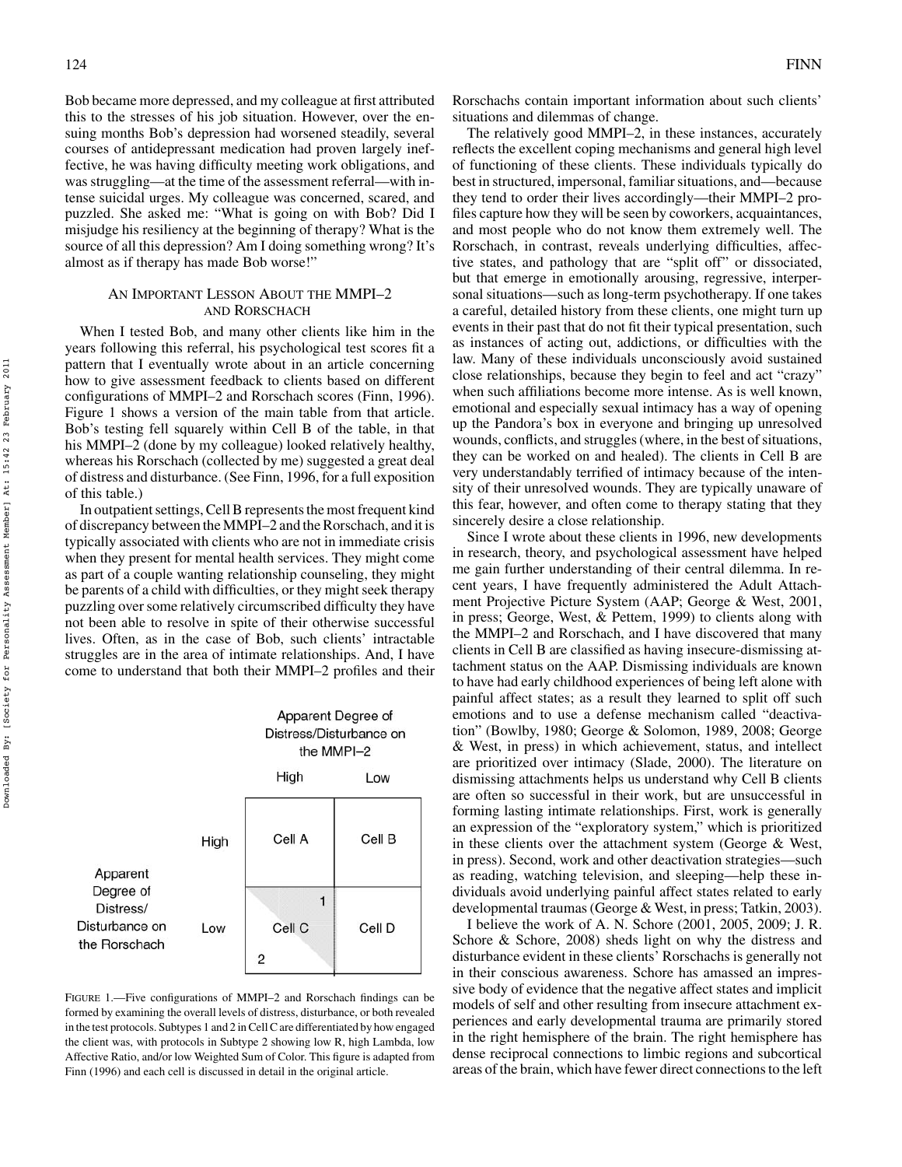Bob became more depressed, and my colleague at first attributed this to the stresses of his job situation. However, over the ensuing months Bob's depression had worsened steadily, several courses of antidepressant medication had proven largely ineffective, he was having difficulty meeting work obligations, and was struggling—at the time of the assessment referral—with intense suicidal urges. My colleague was concerned, scared, and puzzled. She asked me: "What is going on with Bob? Did I misjudge his resiliency at the beginning of therapy? What is the source of all this depression? Am I doing something wrong? It's almost as if therapy has made Bob worse!"

# AN IMPORTANT LESSON ABOUT THE MMPI–2 AND RORSCHACH

When I tested Bob, and many other clients like him in the years following this referral, his psychological test scores fit a pattern that I eventually wrote about in an article concerning how to give assessment feedback to clients based on different configurations of MMPI–2 and Rorschach scores (Finn, 1996). Figure 1 shows a version of the main table from that article. Bob's testing fell squarely within Cell B of the table, in that his MMPI–2 (done by my colleague) looked relatively healthy, whereas his Rorschach (collected by me) suggested a great deal of distress and disturbance. (See Finn, 1996, for a full exposition of this table.)

In outpatient settings, Cell B represents the most frequent kind of discrepancy between the MMPI–2 and the Rorschach, and it is typically associated with clients who are not in immediate crisis when they present for mental health services. They might come as part of a couple wanting relationship counseling, they might be parents of a child with difficulties, or they might seek therapy puzzling over some relatively circumscribed difficulty they have not been able to resolve in spite of their otherwise successful lives. Often, as in the case of Bob, such clients' intractable struggles are in the area of intimate relationships. And, I have come to understand that both their MMPI–2 profiles and their

Apparent Degree of Distress/Disturbance on the MMPI-2 High Low Cell A Cell B High Apparent Degree of  $\mathbf{1}$ Distress/ Disturbance on Cell C Cell D Low the Rorschach  $\overline{c}$ 

FIGURE 1.—Five configurations of MMPI–2 and Rorschach findings can be formed by examining the overall levels of distress, disturbance, or both revealed in the test protocols. Subtypes 1 and 2 in Cell C are differentiated by how engaged the client was, with protocols in Subtype 2 showing low R, high Lambda, low Affective Ratio, and/or low Weighted Sum of Color. This figure is adapted from Finn (1996) and each cell is discussed in detail in the original article.

Rorschachs contain important information about such clients' situations and dilemmas of change.

The relatively good MMPI–2, in these instances, accurately reflects the excellent coping mechanisms and general high level of functioning of these clients. These individuals typically do best in structured, impersonal, familiar situations, and—because they tend to order their lives accordingly—their MMPI–2 profiles capture how they will be seen by coworkers, acquaintances, and most people who do not know them extremely well. The Rorschach, in contrast, reveals underlying difficulties, affective states, and pathology that are "split off" or dissociated, but that emerge in emotionally arousing, regressive, interpersonal situations—such as long-term psychotherapy. If one takes a careful, detailed history from these clients, one might turn up events in their past that do not fit their typical presentation, such as instances of acting out, addictions, or difficulties with the law. Many of these individuals unconsciously avoid sustained close relationships, because they begin to feel and act "crazy" when such affiliations become more intense. As is well known, emotional and especially sexual intimacy has a way of opening up the Pandora's box in everyone and bringing up unresolved wounds, conflicts, and struggles (where, in the best of situations, they can be worked on and healed). The clients in Cell B are very understandably terrified of intimacy because of the intensity of their unresolved wounds. They are typically unaware of this fear, however, and often come to therapy stating that they sincerely desire a close relationship.

Since I wrote about these clients in 1996, new developments in research, theory, and psychological assessment have helped me gain further understanding of their central dilemma. In recent years, I have frequently administered the Adult Attachment Projective Picture System (AAP; George & West, 2001, in press; George, West, & Pettem, 1999) to clients along with the MMPI–2 and Rorschach, and I have discovered that many clients in Cell B are classified as having insecure-dismissing attachment status on the AAP. Dismissing individuals are known to have had early childhood experiences of being left alone with painful affect states; as a result they learned to split off such emotions and to use a defense mechanism called "deactivation" (Bowlby, 1980; George & Solomon, 1989, 2008; George & West, in press) in which achievement, status, and intellect are prioritized over intimacy (Slade, 2000). The literature on dismissing attachments helps us understand why Cell B clients are often so successful in their work, but are unsuccessful in forming lasting intimate relationships. First, work is generally an expression of the "exploratory system," which is prioritized in these clients over the attachment system (George & West, in press). Second, work and other deactivation strategies—such as reading, watching television, and sleeping—help these individuals avoid underlying painful affect states related to early developmental traumas (George & West, in press; Tatkin, 2003).

I believe the work of A. N. Schore (2001, 2005, 2009; J. R. Schore & Schore, 2008) sheds light on why the distress and disturbance evident in these clients' Rorschachs is generally not in their conscious awareness. Schore has amassed an impressive body of evidence that the negative affect states and implicit models of self and other resulting from insecure attachment experiences and early developmental trauma are primarily stored in the right hemisphere of the brain. The right hemisphere has dense reciprocal connections to limbic regions and subcortical areas of the brain, which have fewer direct connections to the left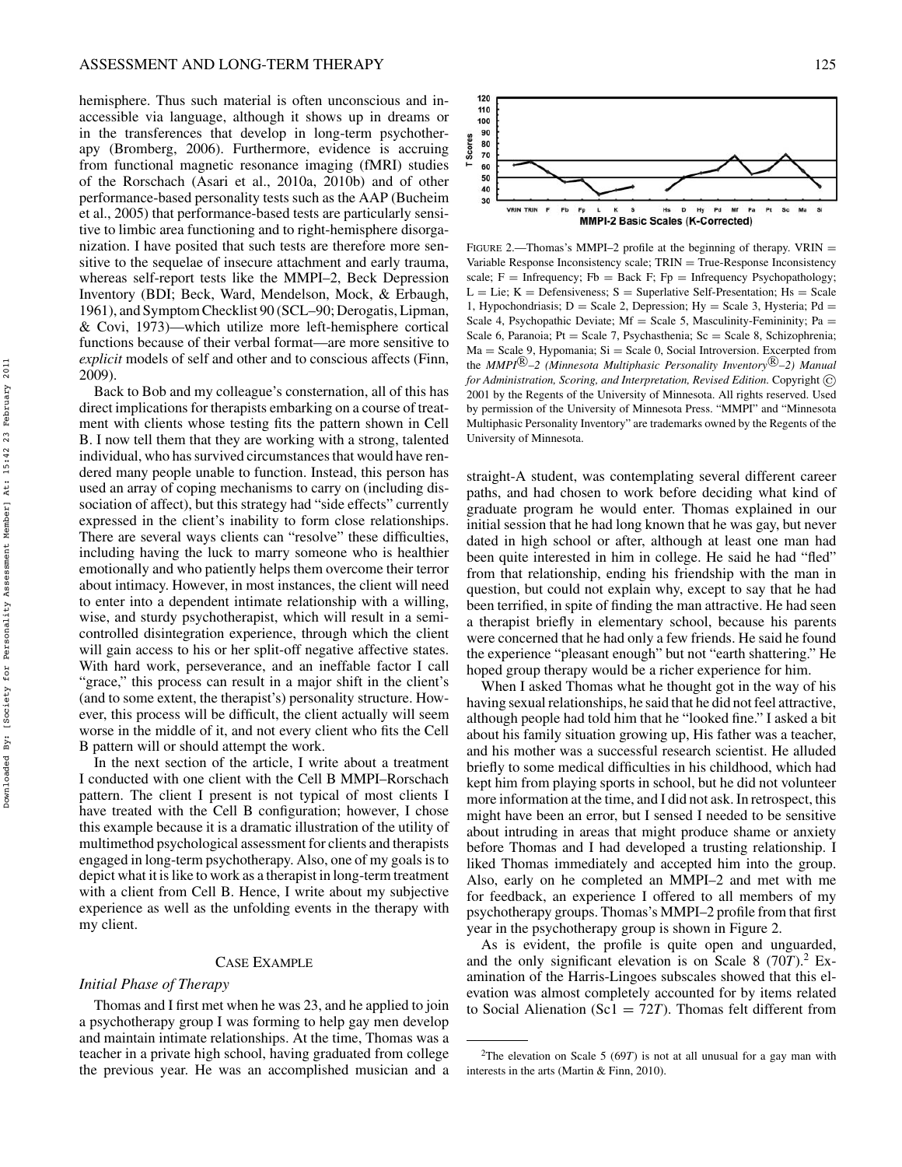hemisphere. Thus such material is often unconscious and inaccessible via language, although it shows up in dreams or in the transferences that develop in long-term psychotherapy (Bromberg, 2006). Furthermore, evidence is accruing from functional magnetic resonance imaging (fMRI) studies of the Rorschach (Asari et al., 2010a, 2010b) and of other performance-based personality tests such as the AAP (Bucheim et al., 2005) that performance-based tests are particularly sensitive to limbic area functioning and to right-hemisphere disorganization. I have posited that such tests are therefore more sensitive to the sequelae of insecure attachment and early trauma, whereas self-report tests like the MMPI–2, Beck Depression Inventory (BDI; Beck, Ward, Mendelson, Mock, & Erbaugh, 1961), and Symptom Checklist 90 (SCL–90; Derogatis, Lipman, & Covi, 1973)—which utilize more left-hemisphere cortical functions because of their verbal format—are more sensitive to *explicit* models of self and other and to conscious affects (Finn, 2009).

Back to Bob and my colleague's consternation, all of this has direct implications for therapists embarking on a course of treatment with clients whose testing fits the pattern shown in Cell B. I now tell them that they are working with a strong, talented individual, who has survived circumstances that would have rendered many people unable to function. Instead, this person has used an array of coping mechanisms to carry on (including dissociation of affect), but this strategy had "side effects" currently expressed in the client's inability to form close relationships. There are several ways clients can "resolve" these difficulties, including having the luck to marry someone who is healthier emotionally and who patiently helps them overcome their terror about intimacy. However, in most instances, the client will need to enter into a dependent intimate relationship with a willing, wise, and sturdy psychotherapist, which will result in a semicontrolled disintegration experience, through which the client will gain access to his or her split-off negative affective states. With hard work, perseverance, and an ineffable factor I call "grace," this process can result in a major shift in the client's (and to some extent, the therapist's) personality structure. However, this process will be difficult, the client actually will seem worse in the middle of it, and not every client who fits the Cell B pattern will or should attempt the work.

In the next section of the article, I write about a treatment I conducted with one client with the Cell B MMPI–Rorschach pattern. The client I present is not typical of most clients I have treated with the Cell B configuration; however, I chose this example because it is a dramatic illustration of the utility of multimethod psychological assessment for clients and therapists engaged in long-term psychotherapy. Also, one of my goals is to depict what it is like to work as a therapist in long-term treatment with a client from Cell B. Hence, I write about my subjective experience as well as the unfolding events in the therapy with my client.

## CASE EXAMPLE

## *Initial Phase of Therapy*

Thomas and I first met when he was 23, and he applied to join a psychotherapy group I was forming to help gay men develop and maintain intimate relationships. At the time, Thomas was a teacher in a private high school, having graduated from college the previous year. He was an accomplished musician and a



FIGURE 2.—Thomas's MMPI–2 profile at the beginning of therapy. VRIN = Variable Response Inconsistency scale; TRIN = True-Response Inconsistency scale;  $F = Infrequency$ ;  $Fb = Back F$ ;  $Fp = Infrequency$  Psychopathology;  $L =$  Lie;  $K =$  Defensiveness;  $S =$  Superlative Self-Presentation; Hs = Scale 1, Hypochondriasis; D = Scale 2, Depression; Hy = Scale 3, Hysteria; Pd = Scale 4, Psychopathic Deviate;  $Mf = Scale 5$ , Masculinity-Femininity; Pa = Scale 6, Paranoia; Pt = Scale 7, Psychasthenia; Sc = Scale 8, Schizophrenia;  $Ma = Scale 9$ , Hypomania;  $Si = Scale 0$ , Social Introversion. Excerpted from the *MMPI*<sup>(*R*)</sup>-2 (*Minnesota Multiphasic Personality Inventory*<sup>(*R*)</sup>-2) *Manual for Administration, Scoring, and Interpretation, Revised Edition.* Copyright © 2001 by the Regents of the University of Minnesota. All rights reserved. Used by permission of the University of Minnesota Press. "MMPI" and "Minnesota Multiphasic Personality Inventory" are trademarks owned by the Regents of the University of Minnesota.

straight-A student, was contemplating several different career paths, and had chosen to work before deciding what kind of graduate program he would enter. Thomas explained in our initial session that he had long known that he was gay, but never dated in high school or after, although at least one man had been quite interested in him in college. He said he had "fled" from that relationship, ending his friendship with the man in question, but could not explain why, except to say that he had been terrified, in spite of finding the man attractive. He had seen a therapist briefly in elementary school, because his parents were concerned that he had only a few friends. He said he found the experience "pleasant enough" but not "earth shattering." He hoped group therapy would be a richer experience for him.

When I asked Thomas what he thought got in the way of his having sexual relationships, he said that he did not feel attractive, although people had told him that he "looked fine." I asked a bit about his family situation growing up, His father was a teacher, and his mother was a successful research scientist. He alluded briefly to some medical difficulties in his childhood, which had kept him from playing sports in school, but he did not volunteer more information at the time, and I did not ask. In retrospect, this might have been an error, but I sensed I needed to be sensitive about intruding in areas that might produce shame or anxiety before Thomas and I had developed a trusting relationship. I liked Thomas immediately and accepted him into the group. Also, early on he completed an MMPI–2 and met with me for feedback, an experience I offered to all members of my psychotherapy groups. Thomas's MMPI–2 profile from that first year in the psychotherapy group is shown in Figure 2.

As is evident, the profile is quite open and unguarded, and the only significant elevation is on Scale  $8$  (70*T*).<sup>2</sup> Examination of the Harris-Lingoes subscales showed that this elevation was almost completely accounted for by items related to Social Alienation (Sc1  $= 72T$ ). Thomas felt different from

<sup>&</sup>lt;sup>2</sup>The elevation on Scale 5 (69*T*) is not at all unusual for a gay man with interests in the arts (Martin & Finn, 2010).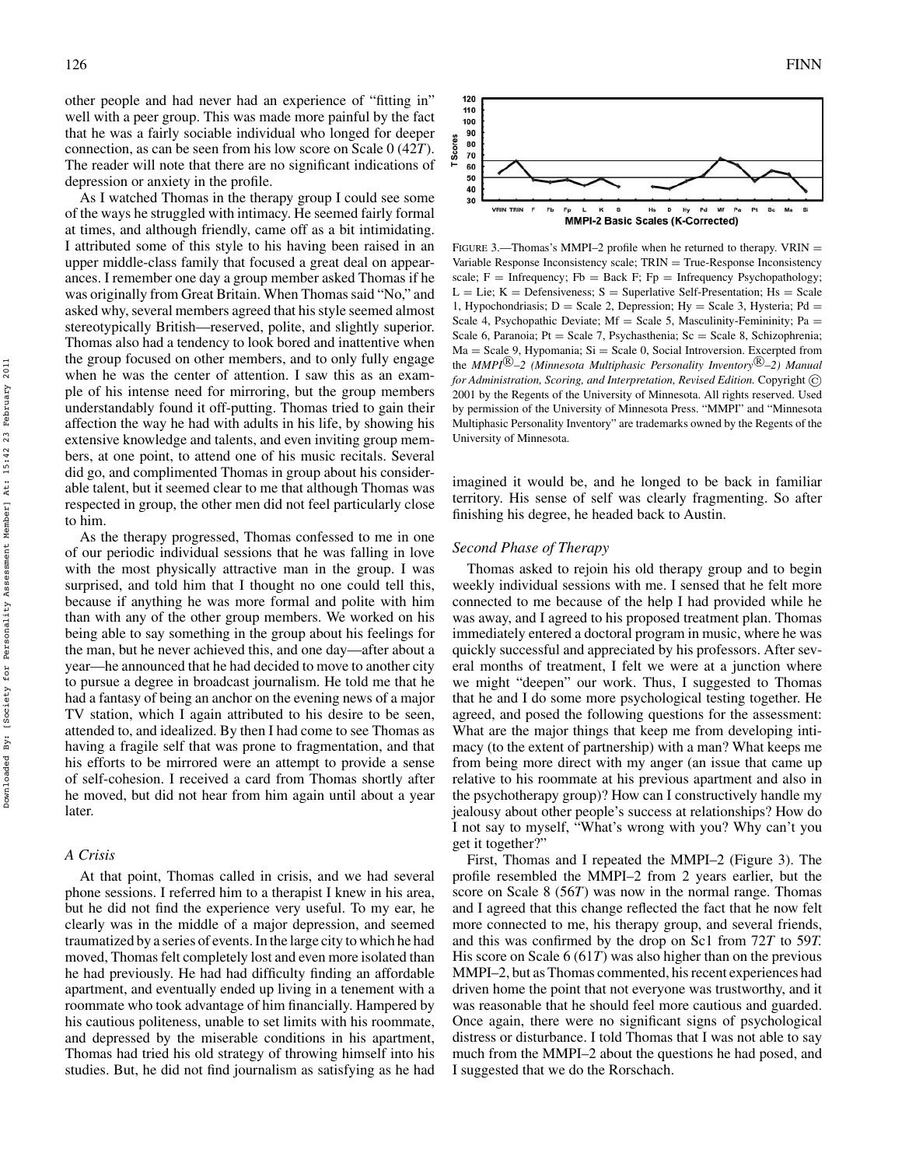other people and had never had an experience of "fitting in" well with a peer group. This was made more painful by the fact that he was a fairly sociable individual who longed for deeper connection, as can be seen from his low score on Scale 0 (42*T*). The reader will note that there are no significant indications of depression or anxiety in the profile.

As I watched Thomas in the therapy group I could see some of the ways he struggled with intimacy. He seemed fairly formal at times, and although friendly, came off as a bit intimidating. I attributed some of this style to his having been raised in an upper middle-class family that focused a great deal on appearances. I remember one day a group member asked Thomas if he was originally from Great Britain. When Thomas said "No," and asked why, several members agreed that his style seemed almost stereotypically British—reserved, polite, and slightly superior. Thomas also had a tendency to look bored and inattentive when the group focused on other members, and to only fully engage when he was the center of attention. I saw this as an example of his intense need for mirroring, but the group members understandably found it off-putting. Thomas tried to gain their affection the way he had with adults in his life, by showing his extensive knowledge and talents, and even inviting group members, at one point, to attend one of his music recitals. Several did go, and complimented Thomas in group about his considerable talent, but it seemed clear to me that although Thomas was respected in group, the other men did not feel particularly close to him.

As the therapy progressed, Thomas confessed to me in one of our periodic individual sessions that he was falling in love with the most physically attractive man in the group. I was surprised, and told him that I thought no one could tell this, because if anything he was more formal and polite with him than with any of the other group members. We worked on his being able to say something in the group about his feelings for the man, but he never achieved this, and one day—after about a year—he announced that he had decided to move to another city to pursue a degree in broadcast journalism. He told me that he had a fantasy of being an anchor on the evening news of a major TV station, which I again attributed to his desire to be seen, attended to, and idealized. By then I had come to see Thomas as having a fragile self that was prone to fragmentation, and that his efforts to be mirrored were an attempt to provide a sense of self-cohesion. I received a card from Thomas shortly after he moved, but did not hear from him again until about a year later.

## *A Crisis*

At that point, Thomas called in crisis, and we had several phone sessions. I referred him to a therapist I knew in his area, but he did not find the experience very useful. To my ear, he clearly was in the middle of a major depression, and seemed traumatized by a series of events. In the large city to which he had moved, Thomas felt completely lost and even more isolated than he had previously. He had had difficulty finding an affordable apartment, and eventually ended up living in a tenement with a roommate who took advantage of him financially. Hampered by his cautious politeness, unable to set limits with his roommate, and depressed by the miserable conditions in his apartment, Thomas had tried his old strategy of throwing himself into his studies. But, he did not find journalism as satisfying as he had



FIGURE 3.—Thomas's MMPI–2 profile when he returned to therapy. VRIN = Variable Response Inconsistency scale;  $TRIN = True$ -Response Inconsistency scale;  $F =$  Infrequency;  $Fb =$  Back F;  $Fp =$  Infrequency Psychopathology;  $L =$  Lie;  $K =$  Defensiveness;  $S =$  Superlative Self-Presentation; Hs = Scale 1, Hypochondriasis; D = Scale 2, Depression; Hy = Scale 3, Hysteria; Pd = Scale 4, Psychopathic Deviate;  $Mf = Scale 5$ , Masculinity-Femininity; Pa = Scale 6, Paranoia; Pt = Scale 7, Psychasthenia; Sc = Scale 8, Schizophrenia;  $Ma = Scale 9$ , Hypomania;  $Si = Scale 0$ , Social Introversion. Excerpted from the *MMPI*<sup>®</sup>-2 (Minnesota Multiphasic Personality Inventory<sup>®</sup>-2) Manual *for Administration, Scoring, and Interpretation, Revised Edition.* Copyright © 2001 by the Regents of the University of Minnesota. All rights reserved. Used by permission of the University of Minnesota Press. "MMPI" and "Minnesota Multiphasic Personality Inventory" are trademarks owned by the Regents of the University of Minnesota.

imagined it would be, and he longed to be back in familiar territory. His sense of self was clearly fragmenting. So after finishing his degree, he headed back to Austin.

## *Second Phase of Therapy*

Thomas asked to rejoin his old therapy group and to begin weekly individual sessions with me. I sensed that he felt more connected to me because of the help I had provided while he was away, and I agreed to his proposed treatment plan. Thomas immediately entered a doctoral program in music, where he was quickly successful and appreciated by his professors. After several months of treatment, I felt we were at a junction where we might "deepen" our work. Thus, I suggested to Thomas that he and I do some more psychological testing together. He agreed, and posed the following questions for the assessment: What are the major things that keep me from developing intimacy (to the extent of partnership) with a man? What keeps me from being more direct with my anger (an issue that came up relative to his roommate at his previous apartment and also in the psychotherapy group)? How can I constructively handle my jealousy about other people's success at relationships? How do I not say to myself, "What's wrong with you? Why can't you get it together?"

First, Thomas and I repeated the MMPI–2 (Figure 3). The profile resembled the MMPI–2 from 2 years earlier, but the score on Scale 8 (56*T*) was now in the normal range. Thomas and I agreed that this change reflected the fact that he now felt more connected to me, his therapy group, and several friends, and this was confirmed by the drop on Sc1 from 72*T* to 59*T.* His score on Scale 6 (61*T*) was also higher than on the previous MMPI–2, but as Thomas commented, his recent experiences had driven home the point that not everyone was trustworthy, and it was reasonable that he should feel more cautious and guarded. Once again, there were no significant signs of psychological distress or disturbance. I told Thomas that I was not able to say much from the MMPI–2 about the questions he had posed, and I suggested that we do the Rorschach.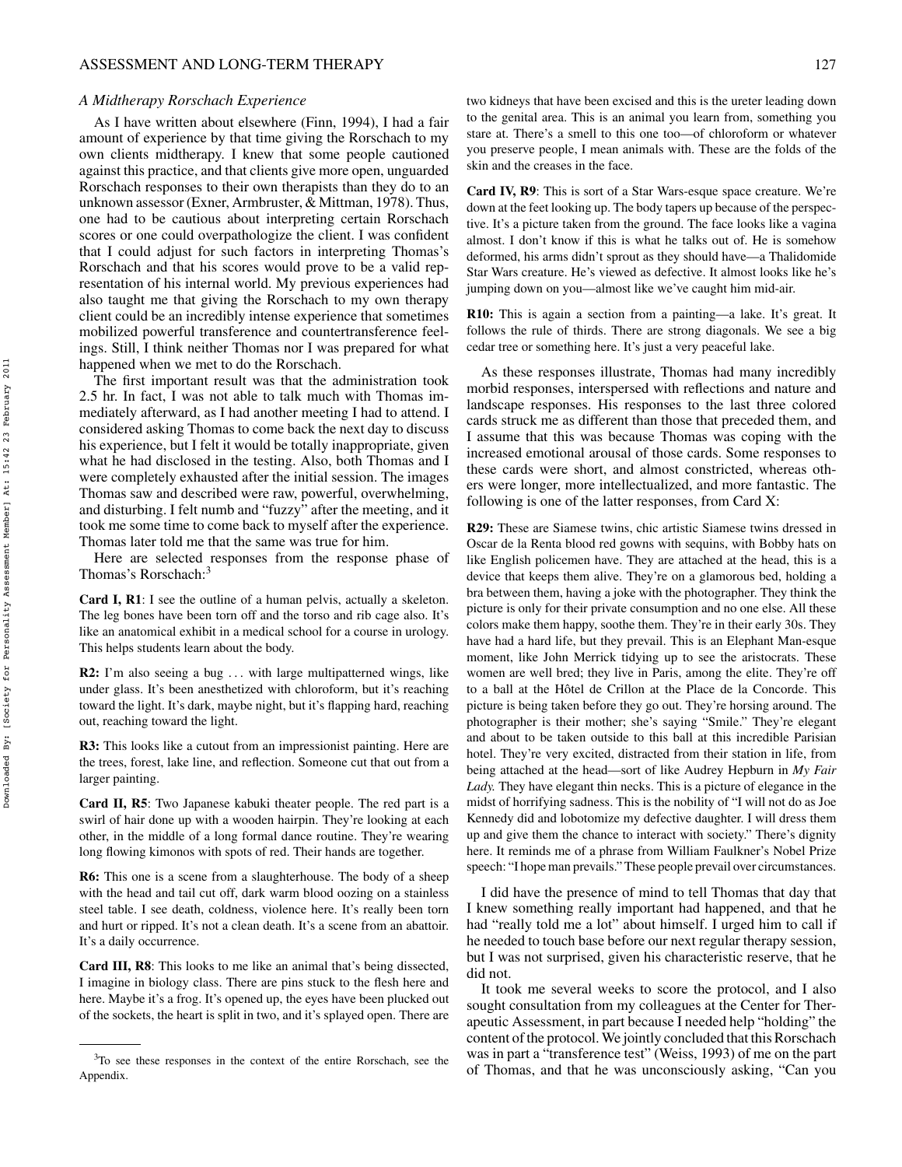#### *A Midtherapy Rorschach Experience*

As I have written about elsewhere (Finn, 1994), I had a fair amount of experience by that time giving the Rorschach to my own clients midtherapy. I knew that some people cautioned against this practice, and that clients give more open, unguarded Rorschach responses to their own therapists than they do to an unknown assessor (Exner, Armbruster, & Mittman, 1978). Thus, one had to be cautious about interpreting certain Rorschach scores or one could overpathologize the client. I was confident that I could adjust for such factors in interpreting Thomas's Rorschach and that his scores would prove to be a valid representation of his internal world. My previous experiences had also taught me that giving the Rorschach to my own therapy client could be an incredibly intense experience that sometimes mobilized powerful transference and countertransference feelings. Still, I think neither Thomas nor I was prepared for what happened when we met to do the Rorschach.

The first important result was that the administration took 2.5 hr. In fact, I was not able to talk much with Thomas immediately afterward, as I had another meeting I had to attend. I considered asking Thomas to come back the next day to discuss his experience, but I felt it would be totally inappropriate, given what he had disclosed in the testing. Also, both Thomas and I were completely exhausted after the initial session. The images Thomas saw and described were raw, powerful, overwhelming, and disturbing. I felt numb and "fuzzy" after the meeting, and it took me some time to come back to myself after the experience. Thomas later told me that the same was true for him.

Here are selected responses from the response phase of Thomas's Rorschach:3

**Card I, R1**: I see the outline of a human pelvis, actually a skeleton. The leg bones have been torn off and the torso and rib cage also. It's like an anatomical exhibit in a medical school for a course in urology. This helps students learn about the body.

**R2:** I'm also seeing a bug *...* with large multipatterned wings, like under glass. It's been anesthetized with chloroform, but it's reaching toward the light. It's dark, maybe night, but it's flapping hard, reaching out, reaching toward the light.

**R3:** This looks like a cutout from an impressionist painting. Here are the trees, forest, lake line, and reflection. Someone cut that out from a larger painting.

**Card II, R5**: Two Japanese kabuki theater people. The red part is a swirl of hair done up with a wooden hairpin. They're looking at each other, in the middle of a long formal dance routine. They're wearing long flowing kimonos with spots of red. Their hands are together.

**R6:** This one is a scene from a slaughterhouse. The body of a sheep with the head and tail cut off, dark warm blood oozing on a stainless steel table. I see death, coldness, violence here. It's really been torn and hurt or ripped. It's not a clean death. It's a scene from an abattoir. It's a daily occurrence.

**Card III, R8**: This looks to me like an animal that's being dissected, I imagine in biology class. There are pins stuck to the flesh here and here. Maybe it's a frog. It's opened up, the eyes have been plucked out of the sockets, the heart is split in two, and it's splayed open. There are two kidneys that have been excised and this is the ureter leading down to the genital area. This is an animal you learn from, something you stare at. There's a smell to this one too—of chloroform or whatever you preserve people, I mean animals with. These are the folds of the skin and the creases in the face.

**Card IV, R9**: This is sort of a Star Wars-esque space creature. We're down at the feet looking up. The body tapers up because of the perspective. It's a picture taken from the ground. The face looks like a vagina almost. I don't know if this is what he talks out of. He is somehow deformed, his arms didn't sprout as they should have—a Thalidomide Star Wars creature. He's viewed as defective. It almost looks like he's jumping down on you—almost like we've caught him mid-air.

**R10:** This is again a section from a painting—a lake. It's great. It follows the rule of thirds. There are strong diagonals. We see a big cedar tree or something here. It's just a very peaceful lake.

As these responses illustrate, Thomas had many incredibly morbid responses, interspersed with reflections and nature and landscape responses. His responses to the last three colored cards struck me as different than those that preceded them, and I assume that this was because Thomas was coping with the increased emotional arousal of those cards. Some responses to these cards were short, and almost constricted, whereas others were longer, more intellectualized, and more fantastic. The following is one of the latter responses, from Card X:

**R29:** These are Siamese twins, chic artistic Siamese twins dressed in Oscar de la Renta blood red gowns with sequins, with Bobby hats on like English policemen have. They are attached at the head, this is a device that keeps them alive. They're on a glamorous bed, holding a bra between them, having a joke with the photographer. They think the picture is only for their private consumption and no one else. All these colors make them happy, soothe them. They're in their early 30s. They have had a hard life, but they prevail. This is an Elephant Man-esque moment, like John Merrick tidying up to see the aristocrats. These women are well bred; they live in Paris, among the elite. They're off to a ball at the Hôtel de Crillon at the Place de la Concorde. This picture is being taken before they go out. They're horsing around. The photographer is their mother; she's saying "Smile." They're elegant and about to be taken outside to this ball at this incredible Parisian hotel. They're very excited, distracted from their station in life, from being attached at the head—sort of like Audrey Hepburn in *My Fair* Lady. They have elegant thin necks. This is a picture of elegance in the midst of horrifying sadness. This is the nobility of "I will not do as Joe Kennedy did and lobotomize my defective daughter. I will dress them up and give them the chance to interact with society." There's dignity here. It reminds me of a phrase from William Faulkner's Nobel Prize speech: "I hope man prevails." These people prevail over circumstances.

I did have the presence of mind to tell Thomas that day that I knew something really important had happened, and that he had "really told me a lot" about himself. I urged him to call if he needed to touch base before our next regular therapy session, but I was not surprised, given his characteristic reserve, that he did not.

It took me several weeks to score the protocol, and I also sought consultation from my colleagues at the Center for Therapeutic Assessment, in part because I needed help "holding" the content of the protocol. We jointly concluded that this Rorschach was in part a "transference test" (Weiss, 1993) of me on the part of Thomas, and that he was unconsciously asking, "Can you

<sup>3</sup>To see these responses in the context of the entire Rorschach, see the Appendix.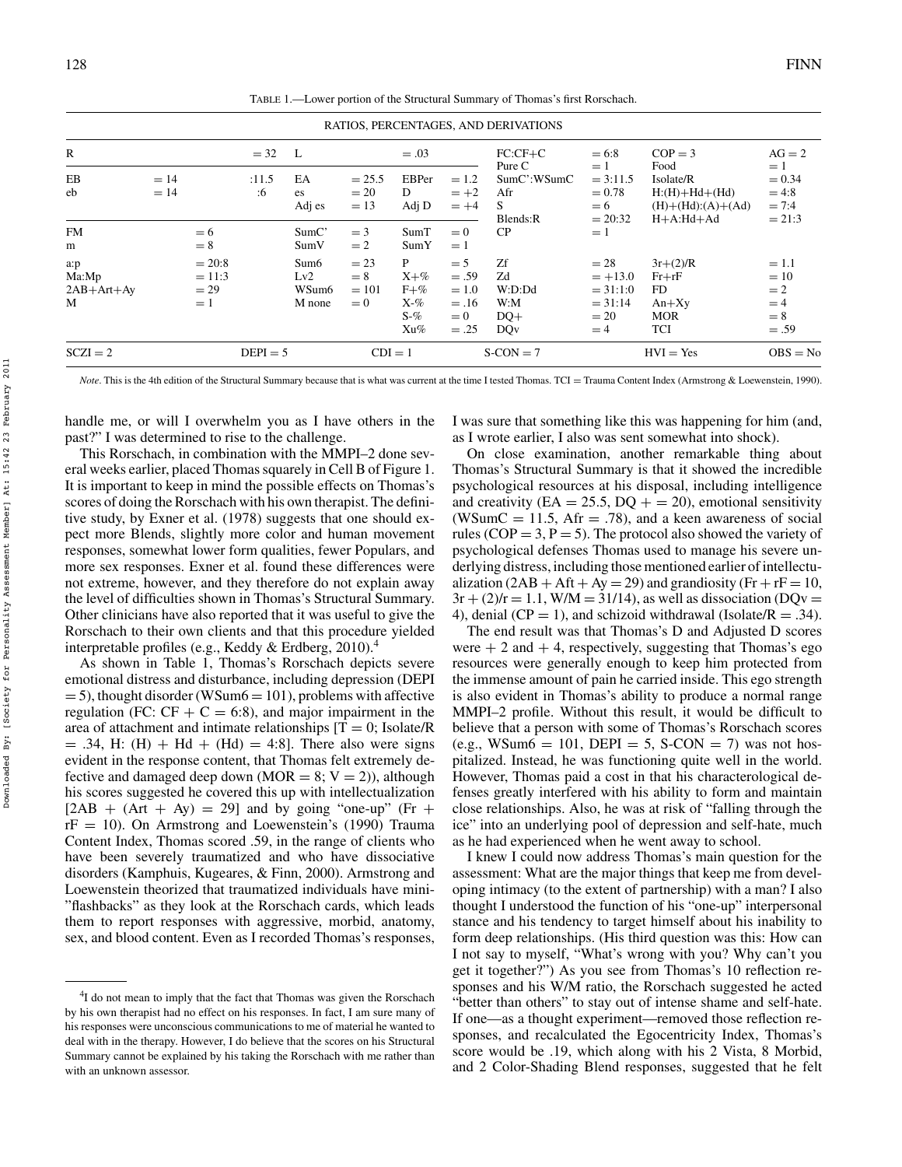| TABLE 1.—Lower portion of the Structural Summary of Thomas's first Rorschach. |  |
|-------------------------------------------------------------------------------|--|
|-------------------------------------------------------------------------------|--|

| RATIOS, PERCENTAGES, AND DERIVATIONS  |                 |                                        |             |                                            |                                     |                                                        |                                                        |                                                              |                                                                 |                                                                    |                                                    |
|---------------------------------------|-----------------|----------------------------------------|-------------|--------------------------------------------|-------------------------------------|--------------------------------------------------------|--------------------------------------------------------|--------------------------------------------------------------|-----------------------------------------------------------------|--------------------------------------------------------------------|----------------------------------------------------|
| R                                     |                 |                                        | $=32$ L     |                                            |                                     | $=.03$                                                 |                                                        | $FC:CF+C$<br>Pure C                                          | $= 6:8$<br>$=1$                                                 | $COP = 3$<br>Food                                                  | $AG = 2$<br>$=1$                                   |
| EB<br>eb                              | $= 14$<br>$=14$ |                                        | :11.5<br>:6 | EA<br>es<br>Adj es                         | $= 25.5$<br>$=20$<br>$= 13$         | EBPer<br>D<br>Adj D                                    | $= 1.2$<br>$=+2$<br>$=+4$                              | SumC':WSumC<br>Afr<br>S<br>Blends:R                          | $= 3:11.5$<br>$= 0.78$<br>$= 6$<br>$= 20:32$                    | Isolate/R<br>$H:(H)+Hd+(Hd)$<br>$(H)+(Hd):(A)+(Ad)$<br>$H+A:Hd+Ad$ | $= 0.34$<br>$= 4:8$<br>$= 7:4$<br>$= 21:3$         |
| FM<br>m                               |                 | $= 6$<br>$= 8$                         |             | SumC'<br>SumV                              | $=$ 3<br>$=2$                       | SumT<br>SumY                                           | $= 0$<br>$=1$                                          | CP                                                           | $=1$                                                            |                                                                    |                                                    |
| a:p<br>Ma:Mp<br>$2AB + Art + Ay$<br>М |                 | $= 20:8$<br>$= 11:3$<br>$= 29$<br>$=1$ |             | Sum <sub>6</sub><br>Lv2<br>WSum6<br>M none | $= 23$<br>$= 8$<br>$= 101$<br>$= 0$ | P<br>$X + \%$<br>$F + \%$<br>$X - \%$<br>$S-\%$<br>Xu% | $= 5$<br>$=.59$<br>$=1.0$<br>$=.16$<br>$= 0$<br>$=.25$ | Zf<br>Zd<br>W:D:D <sub>d</sub><br>W:M<br>$DQ+$<br><b>DOv</b> | $= 28$<br>$= +13.0$<br>$= 31:1:0$<br>$= 31:14$<br>$=20$<br>$=4$ | $3r+(2)/R$<br>$Fr + rF$<br>FD.<br>$An+Xy$<br><b>MOR</b><br>TCI     | $=1.1$<br>$=10$<br>$=2$<br>$=4$<br>$= 8$<br>$=.59$ |
| $SCZI = 2$<br>$DEPI = 5$              |                 | $CDI = 1$                              |             |                                            | $S-CON = 7$                         |                                                        | $HVI = Yes$                                            |                                                              | $OBS = No$                                                      |                                                                    |                                                    |

*Note*. This is the 4th edition of the Structural Summary because that is what was current at the time I tested Thomas. TCI = Trauma Content Index (Armstrong & Loewenstein, 1990).

handle me, or will I overwhelm you as I have others in the past?" I was determined to rise to the challenge.

This Rorschach, in combination with the MMPI–2 done several weeks earlier, placed Thomas squarely in Cell B of Figure 1. It is important to keep in mind the possible effects on Thomas's scores of doing the Rorschach with his own therapist. The definitive study, by Exner et al. (1978) suggests that one should expect more Blends, slightly more color and human movement responses, somewhat lower form qualities, fewer Populars, and more sex responses. Exner et al. found these differences were not extreme, however, and they therefore do not explain away the level of difficulties shown in Thomas's Structural Summary. Other clinicians have also reported that it was useful to give the Rorschach to their own clients and that this procedure yielded interpretable profiles (e.g., Keddy & Erdberg, 2010).<sup>4</sup>

As shown in Table 1, Thomas's Rorschach depicts severe emotional distress and disturbance, including depression (DEPI  $= 5$ ), thought disorder (WSum6  $= 101$ ), problems with affective regulation (FC:  $CF + C = 6:8$ ), and major impairment in the area of attachment and intimate relationships  $[T = 0; Isolate/R]$  $= .34$ , H: (H) + Hd + (Hd) = 4:8]. There also were signs evident in the response content, that Thomas felt extremely defective and damaged deep down (MOR = 8;  $V = 2$ )), although his scores suggested he covered this up with intellectualization  $[2AB + (Art + Ay) = 29]$  and by going "one-up" (Fr +  $rF = 10$ ). On Armstrong and Loewenstein's (1990) Trauma Content Index, Thomas scored .59, in the range of clients who have been severely traumatized and who have dissociative disorders (Kamphuis, Kugeares, & Finn, 2000). Armstrong and Loewenstein theorized that traumatized individuals have mini- "flashbacks" as they look at the Rorschach cards, which leads them to report responses with aggressive, morbid, anatomy, sex, and blood content. Even as I recorded Thomas's responses,

I was sure that something like this was happening for him (and, as I wrote earlier, I also was sent somewhat into shock).

On close examination, another remarkable thing about Thomas's Structural Summary is that it showed the incredible psychological resources at his disposal, including intelligence and creativity ( $EA = 25.5$ ,  $DQ + = 20$ ), emotional sensitivity (WSumC = 11.5,  $\text{Afr} = .78$ ), and a keen awareness of social rules (COP = 3, P = 5). The protocol also showed the variety of psychological defenses Thomas used to manage his severe underlying distress, including those mentioned earlier of intellectualization  $(2AB + Aft + Ay = 29)$  and grandiosity  $(Fr + rF = 10)$ ,  $3r + (2)/r = 1.1$ , W/M = 31/14), as well as dissociation (DQv = 4), denial (CP = 1), and schizoid withdrawal (Isolate/ $R = .34$ ).

The end result was that Thomas's D and Adjusted D scores were  $+ 2$  and  $+ 4$ , respectively, suggesting that Thomas's ego resources were generally enough to keep him protected from the immense amount of pain he carried inside. This ego strength is also evident in Thomas's ability to produce a normal range MMPI–2 profile. Without this result, it would be difficult to believe that a person with some of Thomas's Rorschach scores (e.g., WSum6 = 101, DEPI = 5, S-CON = 7) was not hospitalized. Instead, he was functioning quite well in the world. However, Thomas paid a cost in that his characterological defenses greatly interfered with his ability to form and maintain close relationships. Also, he was at risk of "falling through the ice" into an underlying pool of depression and self-hate, much as he had experienced when he went away to school.

I knew I could now address Thomas's main question for the assessment: What are the major things that keep me from developing intimacy (to the extent of partnership) with a man? I also thought I understood the function of his "one-up" interpersonal stance and his tendency to target himself about his inability to form deep relationships. (His third question was this: How can I not say to myself, "What's wrong with you? Why can't you get it together?") As you see from Thomas's 10 reflection responses and his W/M ratio, the Rorschach suggested he acted "better than others" to stay out of intense shame and self-hate. If one—as a thought experiment—removed those reflection responses, and recalculated the Egocentricity Index, Thomas's score would be .19, which along with his 2 Vista, 8 Morbid, and 2 Color-Shading Blend responses, suggested that he felt

<sup>&</sup>lt;sup>4</sup>I do not mean to imply that the fact that Thomas was given the Rorschach by his own therapist had no effect on his responses. In fact, I am sure many of his responses were unconscious communications to me of material he wanted to deal with in the therapy. However, I do believe that the scores on his Structural Summary cannot be explained by his taking the Rorschach with me rather than with an unknown assessor.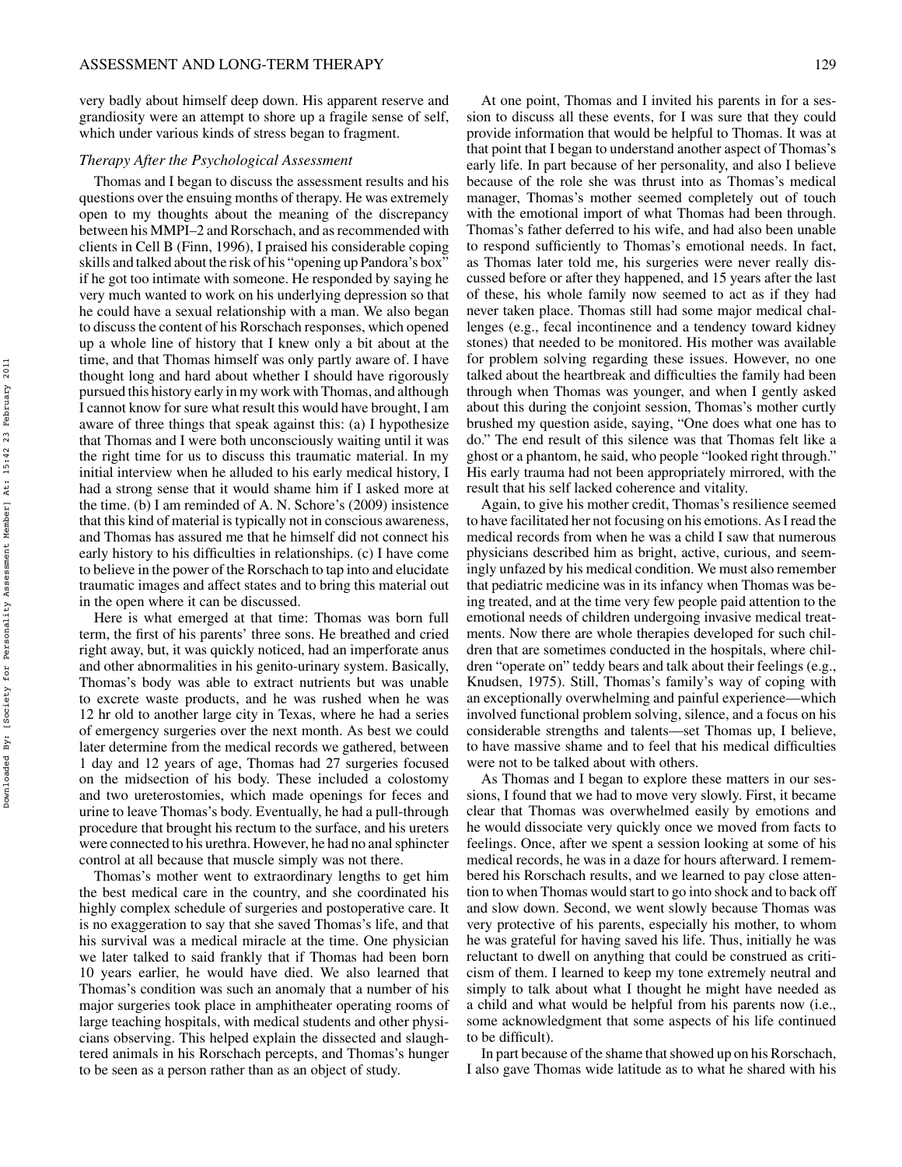very badly about himself deep down. His apparent reserve and grandiosity were an attempt to shore up a fragile sense of self, which under various kinds of stress began to fragment.

### *Therapy After the Psychological Assessment*

Thomas and I began to discuss the assessment results and his questions over the ensuing months of therapy. He was extremely open to my thoughts about the meaning of the discrepancy between his MMPI–2 and Rorschach, and as recommended with clients in Cell B (Finn, 1996), I praised his considerable coping skills and talked about the risk of his "opening up Pandora's box" if he got too intimate with someone. He responded by saying he very much wanted to work on his underlying depression so that he could have a sexual relationship with a man. We also began to discuss the content of his Rorschach responses, which opened up a whole line of history that I knew only a bit about at the time, and that Thomas himself was only partly aware of. I have thought long and hard about whether I should have rigorously pursued this history early in my work with Thomas, and although I cannot know for sure what result this would have brought, I am aware of three things that speak against this: (a) I hypothesize that Thomas and I were both unconsciously waiting until it was the right time for us to discuss this traumatic material. In my initial interview when he alluded to his early medical history, I had a strong sense that it would shame him if I asked more at the time. (b) I am reminded of A. N. Schore's (2009) insistence that this kind of material is typically not in conscious awareness, and Thomas has assured me that he himself did not connect his early history to his difficulties in relationships. (c) I have come to believe in the power of the Rorschach to tap into and elucidate traumatic images and affect states and to bring this material out in the open where it can be discussed.

Here is what emerged at that time: Thomas was born full term, the first of his parents' three sons. He breathed and cried right away, but, it was quickly noticed, had an imperforate anus and other abnormalities in his genito-urinary system. Basically, Thomas's body was able to extract nutrients but was unable to excrete waste products, and he was rushed when he was 12 hr old to another large city in Texas, where he had a series of emergency surgeries over the next month. As best we could later determine from the medical records we gathered, between 1 day and 12 years of age, Thomas had 27 surgeries focused on the midsection of his body. These included a colostomy and two ureterostomies, which made openings for feces and urine to leave Thomas's body. Eventually, he had a pull-through procedure that brought his rectum to the surface, and his ureters were connected to his urethra. However, he had no anal sphincter control at all because that muscle simply was not there.

Thomas's mother went to extraordinary lengths to get him the best medical care in the country, and she coordinated his highly complex schedule of surgeries and postoperative care. It is no exaggeration to say that she saved Thomas's life, and that his survival was a medical miracle at the time. One physician we later talked to said frankly that if Thomas had been born 10 years earlier, he would have died. We also learned that Thomas's condition was such an anomaly that a number of his major surgeries took place in amphitheater operating rooms of large teaching hospitals, with medical students and other physicians observing. This helped explain the dissected and slaughtered animals in his Rorschach percepts, and Thomas's hunger to be seen as a person rather than as an object of study.

At one point, Thomas and I invited his parents in for a session to discuss all these events, for I was sure that they could provide information that would be helpful to Thomas. It was at that point that I began to understand another aspect of Thomas's early life. In part because of her personality, and also I believe because of the role she was thrust into as Thomas's medical manager, Thomas's mother seemed completely out of touch with the emotional import of what Thomas had been through. Thomas's father deferred to his wife, and had also been unable to respond sufficiently to Thomas's emotional needs. In fact, as Thomas later told me, his surgeries were never really discussed before or after they happened, and 15 years after the last of these, his whole family now seemed to act as if they had never taken place. Thomas still had some major medical challenges (e.g., fecal incontinence and a tendency toward kidney stones) that needed to be monitored. His mother was available for problem solving regarding these issues. However, no one talked about the heartbreak and difficulties the family had been through when Thomas was younger, and when I gently asked about this during the conjoint session, Thomas's mother curtly brushed my question aside, saying, "One does what one has to do." The end result of this silence was that Thomas felt like a ghost or a phantom, he said, who people "looked right through." His early trauma had not been appropriately mirrored, with the result that his self lacked coherence and vitality.

Again, to give his mother credit, Thomas's resilience seemed to have facilitated her not focusing on his emotions. As I read the medical records from when he was a child I saw that numerous physicians described him as bright, active, curious, and seemingly unfazed by his medical condition. We must also remember that pediatric medicine was in its infancy when Thomas was being treated, and at the time very few people paid attention to the emotional needs of children undergoing invasive medical treatments. Now there are whole therapies developed for such children that are sometimes conducted in the hospitals, where children "operate on" teddy bears and talk about their feelings (e.g., Knudsen, 1975). Still, Thomas's family's way of coping with an exceptionally overwhelming and painful experience—which involved functional problem solving, silence, and a focus on his considerable strengths and talents—set Thomas up, I believe, to have massive shame and to feel that his medical difficulties were not to be talked about with others.

As Thomas and I began to explore these matters in our sessions, I found that we had to move very slowly. First, it became clear that Thomas was overwhelmed easily by emotions and he would dissociate very quickly once we moved from facts to feelings. Once, after we spent a session looking at some of his medical records, he was in a daze for hours afterward. I remembered his Rorschach results, and we learned to pay close attention to when Thomas would start to go into shock and to back off and slow down. Second, we went slowly because Thomas was very protective of his parents, especially his mother, to whom he was grateful for having saved his life. Thus, initially he was reluctant to dwell on anything that could be construed as criticism of them. I learned to keep my tone extremely neutral and simply to talk about what I thought he might have needed as a child and what would be helpful from his parents now (i.e., some acknowledgment that some aspects of his life continued to be difficult).

In part because of the shame that showed up on his Rorschach, I also gave Thomas wide latitude as to what he shared with his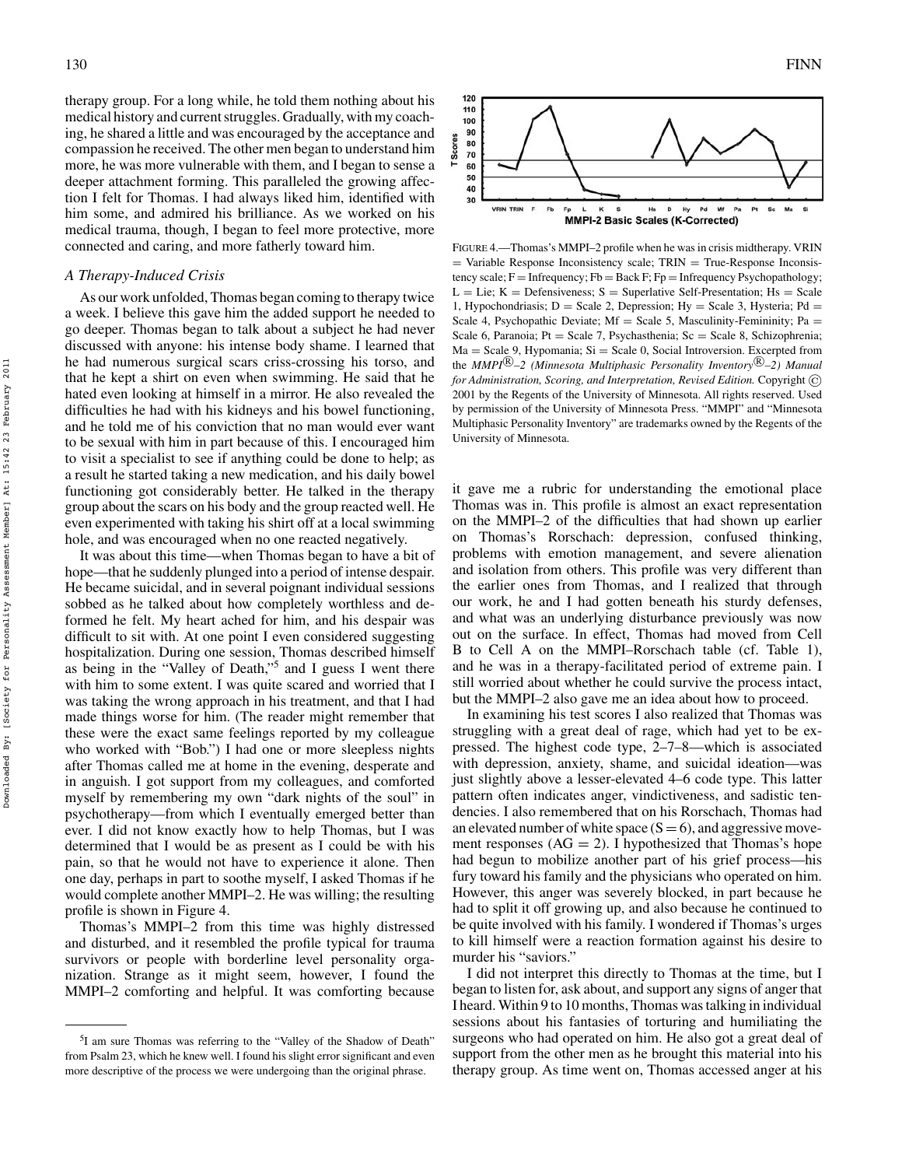therapy group. For a long while, he told them nothing about his medical history and current struggles. Gradually, with my coaching, he shared a little and was encouraged by the acceptance and compassion he received. The other men began to understand him more, he was more vulnerable with them, and I began to sense a deeper attachment forming. This paralleled the growing affection I felt for Thomas. I had always liked him, identified with him some, and admired his brilliance. As we worked on his medical trauma, though, I began to feel more protective, more connected and caring, and more fatherly toward him.

## *A Therapy-Induced Crisis*

As our work unfolded, Thomas began coming to therapy twice a week. I believe this gave him the added support he needed to go deeper. Thomas began to talk about a subject he had never discussed with anyone: his intense body shame. I learned that he had numerous surgical scars criss-crossing his torso, and that he kept a shirt on even when swimming. He said that he hated even looking at himself in a mirror. He also revealed the difficulties he had with his kidneys and his bowel functioning, and he told me of his conviction that no man would ever want to be sexual with him in part because of this. I encouraged him to visit a specialist to see if anything could be done to help; as a result he started taking a new medication, and his daily bowel functioning got considerably better. He talked in the therapy group about the scars on his body and the group reacted well. He even experimented with taking his shirt off at a local swimming hole, and was encouraged when no one reacted negatively.

It was about this time—when Thomas began to have a bit of hope—that he suddenly plunged into a period of intense despair. He became suicidal, and in several poignant individual sessions sobbed as he talked about how completely worthless and deformed he felt. My heart ached for him, and his despair was difficult to sit with. At one point I even considered suggesting hospitalization. During one session, Thomas described himself as being in the "Valley of Death,"5 and I guess I went there with him to some extent. I was quite scared and worried that I was taking the wrong approach in his treatment, and that I had made things worse for him. (The reader might remember that these were the exact same feelings reported by my colleague who worked with "Bob.") I had one or more sleepless nights after Thomas called me at home in the evening, desperate and in anguish. I got support from my colleagues, and comforted myself by remembering my own "dark nights of the soul" in psychotherapy—from which I eventually emerged better than ever. I did not know exactly how to help Thomas, but I was determined that I would be as present as I could be with his pain, so that he would not have to experience it alone. Then one day, perhaps in part to soothe myself, I asked Thomas if he would complete another MMPI–2. He was willing; the resulting profile is shown in Figure 4.

Thomas's MMPI–2 from this time was highly distressed and disturbed, and it resembled the profile typical for trauma survivors or people with borderline level personality organization. Strange as it might seem, however, I found the MMPI–2 comforting and helpful. It was comforting because



FIGURE 4.—Thomas's MMPI–2 profile when he was in crisis midtherapy. VRIN  $=$  Variable Response Inconsistency scale; TRIN  $=$  True-Response Inconsistency scale;  $F = Infrequency$ ;  $Fb = Back F$ ;  $Fp = Infrequency$  Psychopathology;  $L =$  Lie;  $K =$  Defensiveness;  $S =$  Superlative Self-Presentation; Hs = Scale 1, Hypochondriasis;  $D =$  Scale 2, Depression; Hy = Scale 3, Hysteria; Pd = Scale 4, Psychopathic Deviate;  $Mf = Scale 5$ , Masculinity-Femininity; Pa = Scale 6, Paranoia; Pt = Scale 7, Psychasthenia; Sc = Scale 8, Schizophrenia;  $Ma = Scale 9$ , Hypomania;  $Si = Scale 0$ , Social Introversion. Excerpted from the *MMPI*<sup>®</sup>-2 (Minnesota Multiphasic Personality Inventory<sup>®</sup>-2) Manual *for Administration, Scoring, and Interpretation, Revised Edition.* Copyright © 2001 by the Regents of the University of Minnesota. All rights reserved. Used by permission of the University of Minnesota Press. "MMPI" and "Minnesota Multiphasic Personality Inventory" are trademarks owned by the Regents of the University of Minnesota.

it gave me a rubric for understanding the emotional place Thomas was in. This profile is almost an exact representation on the MMPI–2 of the difficulties that had shown up earlier on Thomas's Rorschach: depression, confused thinking, problems with emotion management, and severe alienation and isolation from others. This profile was very different than the earlier ones from Thomas, and I realized that through our work, he and I had gotten beneath his sturdy defenses, and what was an underlying disturbance previously was now out on the surface. In effect, Thomas had moved from Cell B to Cell A on the MMPI–Rorschach table (cf. Table 1), and he was in a therapy-facilitated period of extreme pain. I still worried about whether he could survive the process intact, but the MMPI–2 also gave me an idea about how to proceed.

In examining his test scores I also realized that Thomas was struggling with a great deal of rage, which had yet to be expressed. The highest code type, 2–7–8—which is associated with depression, anxiety, shame, and suicidal ideation—was just slightly above a lesser-elevated 4–6 code type. This latter pattern often indicates anger, vindictiveness, and sadistic tendencies. I also remembered that on his Rorschach, Thomas had an elevated number of white space  $(S = 6)$ , and aggressive movement responses  $(AG = 2)$ . I hypothesized that Thomas's hope had begun to mobilize another part of his grief process—his fury toward his family and the physicians who operated on him. However, this anger was severely blocked, in part because he had to split it off growing up, and also because he continued to be quite involved with his family. I wondered if Thomas's urges to kill himself were a reaction formation against his desire to murder his "saviors."

I did not interpret this directly to Thomas at the time, but I began to listen for, ask about, and support any signs of anger that I heard. Within 9 to 10 months, Thomas was talking in individual sessions about his fantasies of torturing and humiliating the surgeons who had operated on him. He also got a great deal of support from the other men as he brought this material into his therapy group. As time went on, Thomas accessed anger at his

<sup>5</sup>I am sure Thomas was referring to the "Valley of the Shadow of Death" from Psalm 23, which he knew well. I found his slight error significant and even more descriptive of the process we were undergoing than the original phrase.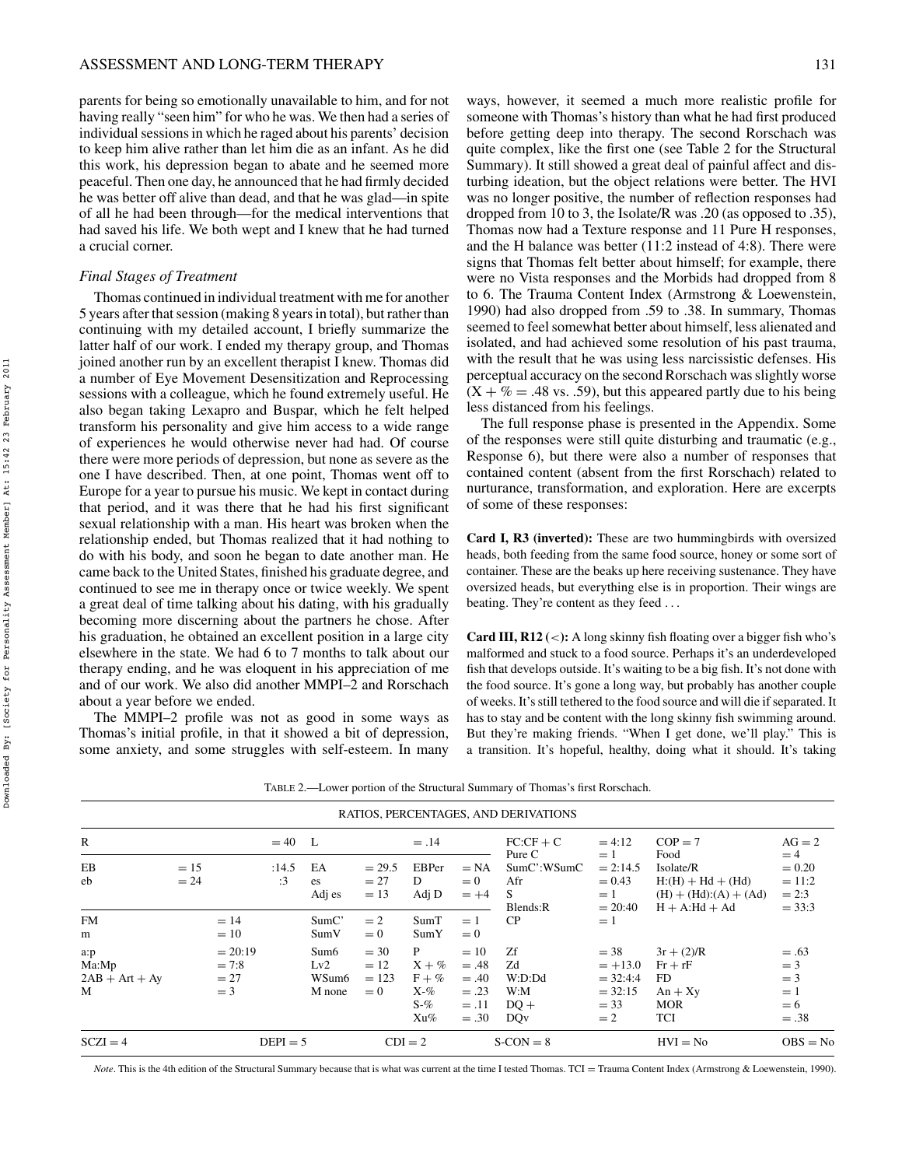parents for being so emotionally unavailable to him, and for not having really "seen him" for who he was. We then had a series of individual sessions in which he raged about his parents' decision to keep him alive rather than let him die as an infant. As he did this work, his depression began to abate and he seemed more peaceful. Then one day, he announced that he had firmly decided he was better off alive than dead, and that he was glad—in spite of all he had been through—for the medical interventions that had saved his life. We both wept and I knew that he had turned a crucial corner.

## *Final Stages of Treatment*

Thomas continued in individual treatment with me for another 5 years after that session (making 8 years in total), but rather than continuing with my detailed account, I briefly summarize the latter half of our work. I ended my therapy group, and Thomas joined another run by an excellent therapist I knew. Thomas did a number of Eye Movement Desensitization and Reprocessing sessions with a colleague, which he found extremely useful. He also began taking Lexapro and Buspar, which he felt helped transform his personality and give him access to a wide range of experiences he would otherwise never had had. Of course there were more periods of depression, but none as severe as the one I have described. Then, at one point, Thomas went off to Europe for a year to pursue his music. We kept in contact during that period, and it was there that he had his first significant sexual relationship with a man. His heart was broken when the relationship ended, but Thomas realized that it had nothing to do with his body, and soon he began to date another man. He came back to the United States, finished his graduate degree, and continued to see me in therapy once or twice weekly. We spent a great deal of time talking about his dating, with his gradually becoming more discerning about the partners he chose. After his graduation, he obtained an excellent position in a large city elsewhere in the state. We had 6 to 7 months to talk about our therapy ending, and he was eloquent in his appreciation of me and of our work. We also did another MMPI–2 and Rorschach about a year before we ended.

The MMPI–2 profile was not as good in some ways as Thomas's initial profile, in that it showed a bit of depression, some anxiety, and some struggles with self-esteem. In many

ways, however, it seemed a much more realistic profile for someone with Thomas's history than what he had first produced before getting deep into therapy. The second Rorschach was quite complex, like the first one (see Table 2 for the Structural Summary). It still showed a great deal of painful affect and disturbing ideation, but the object relations were better. The HVI was no longer positive, the number of reflection responses had dropped from 10 to 3, the Isolate/R was .20 (as opposed to .35), Thomas now had a Texture response and 11 Pure H responses, and the H balance was better (11:2 instead of 4:8). There were signs that Thomas felt better about himself; for example, there were no Vista responses and the Morbids had dropped from 8 to 6. The Trauma Content Index (Armstrong & Loewenstein, 1990) had also dropped from .59 to .38. In summary, Thomas seemed to feel somewhat better about himself, less alienated and isolated, and had achieved some resolution of his past trauma, with the result that he was using less narcissistic defenses. His perceptual accuracy on the second Rorschach was slightly worse  $(X + \% = .48 \text{ vs. } .59)$ , but this appeared partly due to his being less distanced from his feelings.

The full response phase is presented in the Appendix. Some of the responses were still quite disturbing and traumatic (e.g., Response 6), but there were also a number of responses that contained content (absent from the first Rorschach) related to nurturance, transformation, and exploration. Here are excerpts of some of these responses:

**Card I, R3 (inverted):** These are two hummingbirds with oversized heads, both feeding from the same food source, honey or some sort of container. These are the beaks up here receiving sustenance. They have oversized heads, but everything else is in proportion. Their wings are beating. They're content as they feed *...*

**Card III, R12 (***<***):** A long skinny fish floating over a bigger fish who's malformed and stuck to a food source. Perhaps it's an underdeveloped fish that develops outside. It's waiting to be a big fish. It's not done with the food source. It's gone a long way, but probably has another couple of weeks. It's still tethered to the food source and will die if separated. It has to stay and be content with the long skinny fish swimming around. But they're making friends. "When I get done, we'll play." This is a transition. It's hopeful, healthy, doing what it should. It's taking

TABLE 2.—Lower portion of the Structural Summary of Thomas's first Rorschach.

| RATIOS, PERCENTAGES, AND DERIVATIONS  |                 |                                        |             |                                            |                                     |                                                           |                                                          |                                                               |                                                                  |                                                                                        |                                                     |
|---------------------------------------|-----------------|----------------------------------------|-------------|--------------------------------------------|-------------------------------------|-----------------------------------------------------------|----------------------------------------------------------|---------------------------------------------------------------|------------------------------------------------------------------|----------------------------------------------------------------------------------------|-----------------------------------------------------|
| $\mathbb{R}$                          |                 |                                        | $=40$ L     |                                            |                                     | $=.14$                                                    |                                                          | $FC:CF + C$                                                   | $=4:12$                                                          | $COP = 7$                                                                              | $AG = 2$                                            |
| EB<br>eb                              | $=15$<br>$= 24$ |                                        | :14.5<br>:3 | EA<br>es<br>Adj es                         | $= 29.5$<br>$=27$<br>$= 13$         | EBPer<br>D<br>Adj D                                       | $= NA$<br>$= 0$<br>$= +4$                                | Pure C<br>$SumC$ : WSumC<br>Afr<br>S<br>Blends:R              | $=1$<br>$= 2:14.5$<br>$= 0.43$<br>$=1$<br>$= 20:40$              | Food<br>Isolate/R<br>$H:(H) + Hd + (Hd)$<br>$(H) + (Hd):(A) + (Ad)$<br>$H + A:Hd + Ad$ | $=4$<br>$= 0.20$<br>$= 11:2$<br>$= 2:3$<br>$= 33:3$ |
| <b>FM</b><br>m                        |                 | $=14$<br>$=10$                         |             | SumC'<br>SumV                              | $= 2$<br>$= 0$                      | SumT<br>SumY                                              | $=1$<br>$= 0$                                            | CP.                                                           | $=1$                                                             |                                                                                        |                                                     |
| a:p<br>Ma:Mp<br>$2AB + Art + Ay$<br>M |                 | $= 20:19$<br>$= 7:8$<br>$=27$<br>$=$ 3 |             | Sum <sub>6</sub><br>Lv2<br>WSum6<br>M none | $=$ 30<br>$=12$<br>$= 123$<br>$= 0$ | P<br>$X + \%$<br>$F + \%$<br>$X - \%$<br>$S-\%$<br>$Xu\%$ | $=10$<br>$=.48$<br>$= .40$<br>$=.23$<br>$=.11$<br>$=.30$ | 7f<br>Ζd<br>W:D:D <sub>d</sub><br>W:M<br>$DO +$<br><b>DOv</b> | $=$ 38<br>$= +13.0$<br>$= 32:4:4$<br>$= 32:15$<br>$=$ 33<br>$=2$ | $3r + (2)/R$<br>$Fr + rF$<br><b>FD</b><br>$An + Xy$<br><b>MOR</b><br>TCI               | $=.63$<br>$=$ 3<br>$=$ 3<br>$=1$<br>$= 6$<br>$=.38$ |
| $SCZI = 4$                            |                 | $DEPI = 5$                             |             | $CDI = 2$                                  |                                     | $S-CON = 8$                                               |                                                          | $HVI = No$                                                    | $OBS = No$                                                       |                                                                                        |                                                     |

*Note*. This is the 4th edition of the Structural Summary because that is what was current at the time I tested Thomas. TCI = Trauma Content Index (Armstrong & Loewenstein, 1990).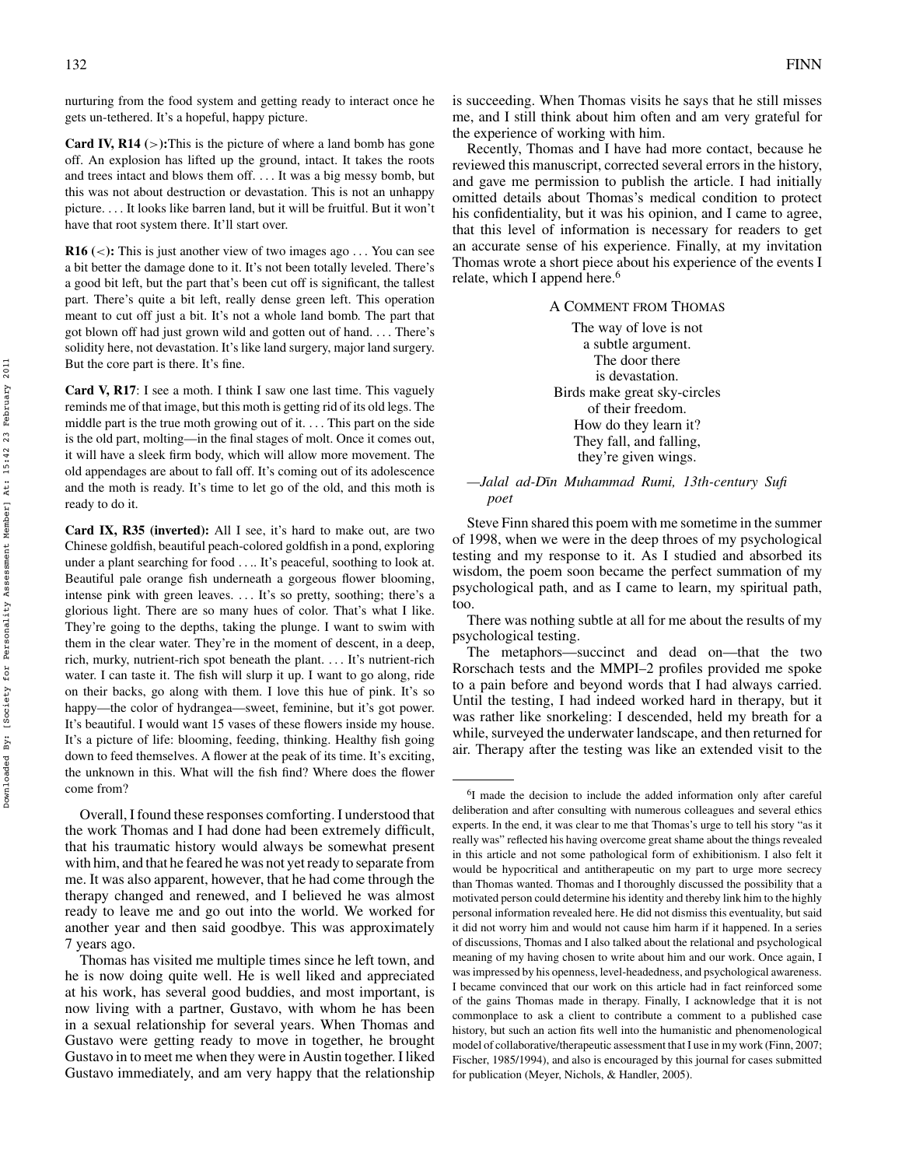nurturing from the food system and getting ready to interact once he gets un-tethered. It's a hopeful, happy picture.

**Card IV, R14 (***>***):**This is the picture of where a land bomb has gone off. An explosion has lifted up the ground, intact. It takes the roots and trees intact and blows them off. *...* It was a big messy bomb, but this was not about destruction or devastation. This is not an unhappy picture. *...* It looks like barren land, but it will be fruitful. But it won't have that root system there. It'll start over.

**R16 (***<***):** This is just another view of two images ago *...* You can see a bit better the damage done to it. It's not been totally leveled. There's a good bit left, but the part that's been cut off is significant, the tallest part. There's quite a bit left, really dense green left. This operation meant to cut off just a bit. It's not a whole land bomb. The part that got blown off had just grown wild and gotten out of hand. *...* There's solidity here, not devastation. It's like land surgery, major land surgery. But the core part is there. It's fine.

**Card V, R17**: I see a moth. I think I saw one last time. This vaguely reminds me of that image, but this moth is getting rid of its old legs. The middle part is the true moth growing out of it. *...* This part on the side is the old part, molting—in the final stages of molt. Once it comes out, it will have a sleek firm body, which will allow more movement. The old appendages are about to fall off. It's coming out of its adolescence and the moth is ready. It's time to let go of the old, and this moth is ready to do it.

**Card IX, R35 (inverted):** All I see, it's hard to make out, are two Chinese goldfish, beautiful peach-colored goldfish in a pond, exploring under a plant searching for food *...*. It's peaceful, soothing to look at. Beautiful pale orange fish underneath a gorgeous flower blooming, intense pink with green leaves. *...* It's so pretty, soothing; there's a glorious light. There are so many hues of color. That's what I like. They're going to the depths, taking the plunge. I want to swim with them in the clear water. They're in the moment of descent, in a deep, rich, murky, nutrient-rich spot beneath the plant. *...* It's nutrient-rich water. I can taste it. The fish will slurp it up. I want to go along, ride on their backs, go along with them. I love this hue of pink. It's so happy—the color of hydrangea—sweet, feminine, but it's got power. It's beautiful. I would want 15 vases of these flowers inside my house. It's a picture of life: blooming, feeding, thinking. Healthy fish going down to feed themselves. A flower at the peak of its time. It's exciting, the unknown in this. What will the fish find? Where does the flower come from?

Overall, I found these responses comforting. I understood that the work Thomas and I had done had been extremely difficult, that his traumatic history would always be somewhat present with him, and that he feared he was not yet ready to separate from me. It was also apparent, however, that he had come through the therapy changed and renewed, and I believed he was almost ready to leave me and go out into the world. We worked for another year and then said goodbye. This was approximately 7 years ago.

Thomas has visited me multiple times since he left town, and he is now doing quite well. He is well liked and appreciated at his work, has several good buddies, and most important, is now living with a partner, Gustavo, with whom he has been in a sexual relationship for several years. When Thomas and Gustavo were getting ready to move in together, he brought Gustavo in to meet me when they were in Austin together. I liked Gustavo immediately, and am very happy that the relationship is succeeding. When Thomas visits he says that he still misses me, and I still think about him often and am very grateful for the experience of working with him.

Recently, Thomas and I have had more contact, because he reviewed this manuscript, corrected several errors in the history, and gave me permission to publish the article. I had initially omitted details about Thomas's medical condition to protect his confidentiality, but it was his opinion, and I came to agree, that this level of information is necessary for readers to get an accurate sense of his experience. Finally, at my invitation Thomas wrote a short piece about his experience of the events I relate, which I append here.<sup>6</sup>

#### A COMMENT FROM THOMAS

The way of love is not a subtle argument. The door there is devastation. Birds make great sky-circles of their freedom. How do they learn it? They fall, and falling, they're given wings.

### *—Jalal ad-D*¯ı*n Muhammad Rumi, 13th-century Sufi poet*

Steve Finn shared this poem with me sometime in the summer of 1998, when we were in the deep throes of my psychological testing and my response to it. As I studied and absorbed its wisdom, the poem soon became the perfect summation of my psychological path, and as I came to learn, my spiritual path, too.

There was nothing subtle at all for me about the results of my psychological testing.

The metaphors—succinct and dead on—that the two Rorschach tests and the MMPI–2 profiles provided me spoke to a pain before and beyond words that I had always carried. Until the testing, I had indeed worked hard in therapy, but it was rather like snorkeling: I descended, held my breath for a while, surveyed the underwater landscape, and then returned for air. Therapy after the testing was like an extended visit to the

<sup>&</sup>lt;sup>6</sup>I made the decision to include the added information only after careful deliberation and after consulting with numerous colleagues and several ethics experts. In the end, it was clear to me that Thomas's urge to tell his story "as it really was" reflected his having overcome great shame about the things revealed in this article and not some pathological form of exhibitionism. I also felt it would be hypocritical and antitherapeutic on my part to urge more secrecy than Thomas wanted. Thomas and I thoroughly discussed the possibility that a motivated person could determine his identity and thereby link him to the highly personal information revealed here. He did not dismiss this eventuality, but said it did not worry him and would not cause him harm if it happened. In a series of discussions, Thomas and I also talked about the relational and psychological meaning of my having chosen to write about him and our work. Once again, I was impressed by his openness, level-headedness, and psychological awareness. I became convinced that our work on this article had in fact reinforced some of the gains Thomas made in therapy. Finally, I acknowledge that it is not commonplace to ask a client to contribute a comment to a published case history, but such an action fits well into the humanistic and phenomenological model of collaborative/therapeutic assessment that I use in my work (Finn, 2007; Fischer, 1985/1994), and also is encouraged by this journal for cases submitted for publication (Meyer, Nichols, & Handler, 2005).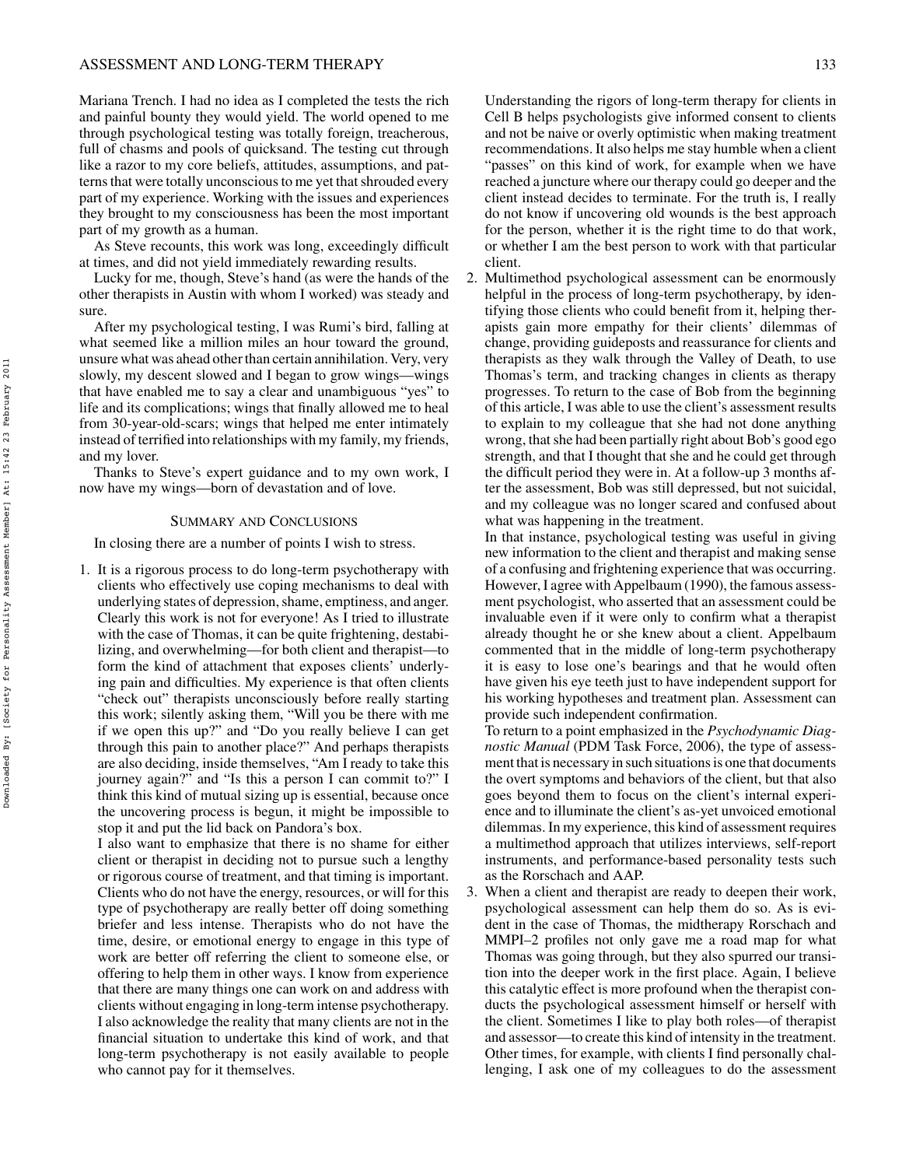Mariana Trench. I had no idea as I completed the tests the rich and painful bounty they would yield. The world opened to me through psychological testing was totally foreign, treacherous, full of chasms and pools of quicksand. The testing cut through like a razor to my core beliefs, attitudes, assumptions, and patterns that were totally unconscious to me yet that shrouded every part of my experience. Working with the issues and experiences they brought to my consciousness has been the most important part of my growth as a human.

As Steve recounts, this work was long, exceedingly difficult at times, and did not yield immediately rewarding results.

Lucky for me, though, Steve's hand (as were the hands of the other therapists in Austin with whom I worked) was steady and sure.

After my psychological testing, I was Rumi's bird, falling at what seemed like a million miles an hour toward the ground, unsure what was ahead other than certain annihilation. Very, very slowly, my descent slowed and I began to grow wings—wings that have enabled me to say a clear and unambiguous "yes" to life and its complications; wings that finally allowed me to heal from 30-year-old-scars; wings that helped me enter intimately instead of terrified into relationships with my family, my friends, and my lover.

Thanks to Steve's expert guidance and to my own work, I now have my wings—born of devastation and of love.

### SUMMARY AND CONCLUSIONS

In closing there are a number of points I wish to stress.

1. It is a rigorous process to do long-term psychotherapy with clients who effectively use coping mechanisms to deal with underlying states of depression, shame, emptiness, and anger. Clearly this work is not for everyone! As I tried to illustrate with the case of Thomas, it can be quite frightening, destabilizing, and overwhelming—for both client and therapist—to form the kind of attachment that exposes clients' underlying pain and difficulties. My experience is that often clients "check out" therapists unconsciously before really starting this work; silently asking them, "Will you be there with me if we open this up?" and "Do you really believe I can get through this pain to another place?" And perhaps therapists are also deciding, inside themselves, "Am I ready to take this journey again?" and "Is this a person I can commit to?" I think this kind of mutual sizing up is essential, because once the uncovering process is begun, it might be impossible to stop it and put the lid back on Pandora's box.

I also want to emphasize that there is no shame for either client or therapist in deciding not to pursue such a lengthy or rigorous course of treatment, and that timing is important. Clients who do not have the energy, resources, or will for this type of psychotherapy are really better off doing something briefer and less intense. Therapists who do not have the time, desire, or emotional energy to engage in this type of work are better off referring the client to someone else, or offering to help them in other ways. I know from experience that there are many things one can work on and address with clients without engaging in long-term intense psychotherapy. I also acknowledge the reality that many clients are not in the financial situation to undertake this kind of work, and that long-term psychotherapy is not easily available to people who cannot pay for it themselves.

Understanding the rigors of long-term therapy for clients in Cell B helps psychologists give informed consent to clients and not be naive or overly optimistic when making treatment recommendations. It also helps me stay humble when a client "passes" on this kind of work, for example when we have reached a juncture where our therapy could go deeper and the client instead decides to terminate. For the truth is, I really do not know if uncovering old wounds is the best approach for the person, whether it is the right time to do that work, or whether I am the best person to work with that particular client.

2. Multimethod psychological assessment can be enormously helpful in the process of long-term psychotherapy, by identifying those clients who could benefit from it, helping therapists gain more empathy for their clients' dilemmas of change, providing guideposts and reassurance for clients and therapists as they walk through the Valley of Death, to use Thomas's term, and tracking changes in clients as therapy progresses. To return to the case of Bob from the beginning of this article, I was able to use the client's assessment results to explain to my colleague that she had not done anything wrong, that she had been partially right about Bob's good ego strength, and that I thought that she and he could get through the difficult period they were in. At a follow-up 3 months after the assessment, Bob was still depressed, but not suicidal, and my colleague was no longer scared and confused about what was happening in the treatment.

In that instance, psychological testing was useful in giving new information to the client and therapist and making sense of a confusing and frightening experience that was occurring. However, I agree with Appelbaum (1990), the famous assessment psychologist, who asserted that an assessment could be invaluable even if it were only to confirm what a therapist already thought he or she knew about a client. Appelbaum commented that in the middle of long-term psychotherapy it is easy to lose one's bearings and that he would often have given his eye teeth just to have independent support for his working hypotheses and treatment plan. Assessment can provide such independent confirmation.

To return to a point emphasized in the *Psychodynamic Diagnostic Manual* (PDM Task Force, 2006), the type of assessment that is necessary in such situations is one that documents the overt symptoms and behaviors of the client, but that also goes beyond them to focus on the client's internal experience and to illuminate the client's as-yet unvoiced emotional dilemmas. In my experience, this kind of assessment requires a multimethod approach that utilizes interviews, self-report instruments, and performance-based personality tests such as the Rorschach and AAP.

3. When a client and therapist are ready to deepen their work, psychological assessment can help them do so. As is evident in the case of Thomas, the midtherapy Rorschach and MMPI–2 profiles not only gave me a road map for what Thomas was going through, but they also spurred our transition into the deeper work in the first place. Again, I believe this catalytic effect is more profound when the therapist conducts the psychological assessment himself or herself with the client. Sometimes I like to play both roles—of therapist and assessor—to create this kind of intensity in the treatment. Other times, for example, with clients I find personally challenging, I ask one of my colleagues to do the assessment

201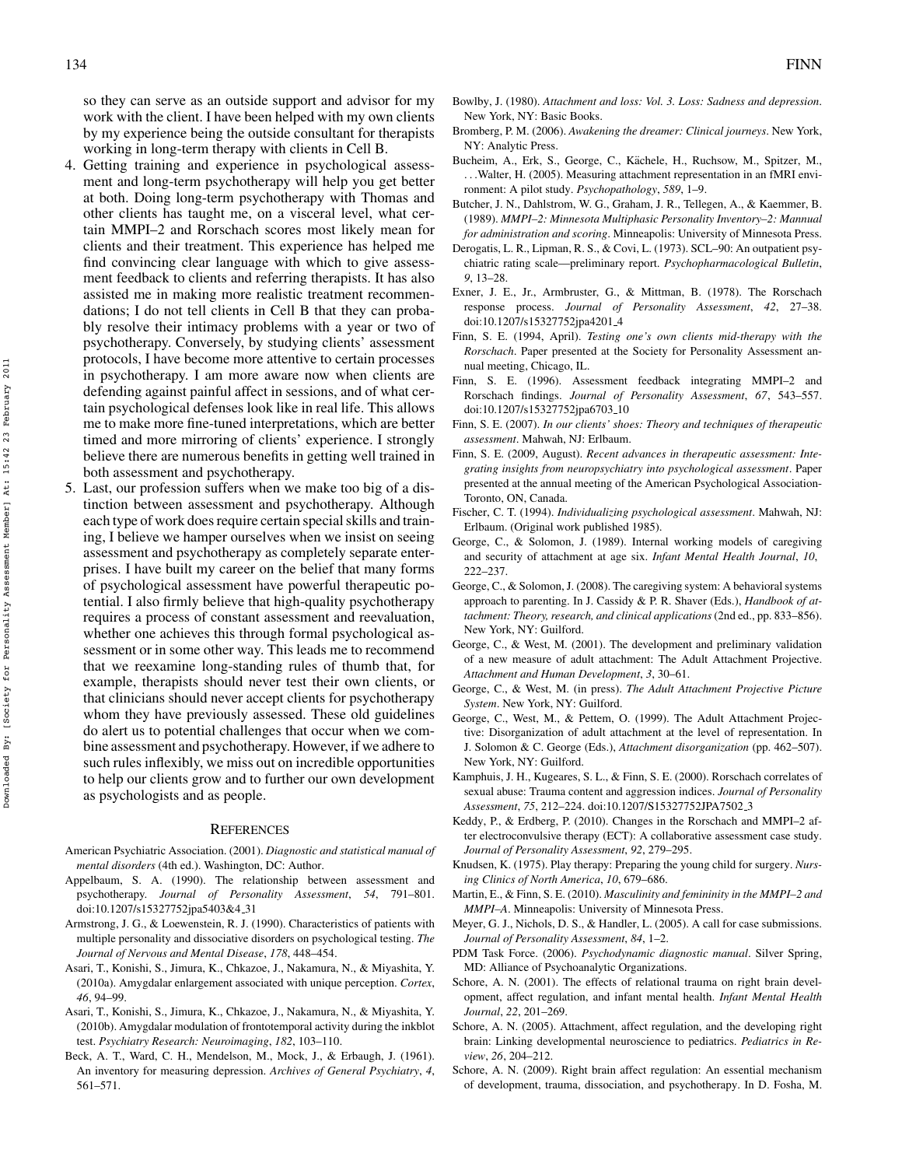so they can serve as an outside support and advisor for my work with the client. I have been helped with my own clients by my experience being the outside consultant for therapists working in long-term therapy with clients in Cell B.

- 4. Getting training and experience in psychological assessment and long-term psychotherapy will help you get better at both. Doing long-term psychotherapy with Thomas and other clients has taught me, on a visceral level, what certain MMPI–2 and Rorschach scores most likely mean for clients and their treatment. This experience has helped me find convincing clear language with which to give assessment feedback to clients and referring therapists. It has also assisted me in making more realistic treatment recommendations; I do not tell clients in Cell B that they can probably resolve their intimacy problems with a year or two of psychotherapy. Conversely, by studying clients' assessment protocols, I have become more attentive to certain processes in psychotherapy. I am more aware now when clients are defending against painful affect in sessions, and of what certain psychological defenses look like in real life. This allows me to make more fine-tuned interpretations, which are better timed and more mirroring of clients' experience. I strongly believe there are numerous benefits in getting well trained in both assessment and psychotherapy.
- 5. Last, our profession suffers when we make too big of a distinction between assessment and psychotherapy. Although each type of work does require certain special skills and training, I believe we hamper ourselves when we insist on seeing assessment and psychotherapy as completely separate enterprises. I have built my career on the belief that many forms of psychological assessment have powerful therapeutic potential. I also firmly believe that high-quality psychotherapy requires a process of constant assessment and reevaluation, whether one achieves this through formal psychological assessment or in some other way. This leads me to recommend that we reexamine long-standing rules of thumb that, for example, therapists should never test their own clients, or that clinicians should never accept clients for psychotherapy whom they have previously assessed. These old guidelines do alert us to potential challenges that occur when we combine assessment and psychotherapy. However, if we adhere to such rules inflexibly, we miss out on incredible opportunities to help our clients grow and to further our own development as psychologists and as people.

#### **REFERENCES**

- American Psychiatric Association. (2001). *Diagnostic and statistical manual of mental disorders* (4th ed.). Washington, DC: Author.
- Appelbaum, S. A. (1990). The relationship between assessment and psychotherapy. *Journal of Personality Assessment*, *54*, 791–801. doi:10.1207/s15327752jpa5403&4 31
- Armstrong, J. G., & Loewenstein, R. J. (1990). Characteristics of patients with multiple personality and dissociative disorders on psychological testing. *The Journal of Nervous and Mental Disease*, *178*, 448–454.
- Asari, T., Konishi, S., Jimura, K., Chkazoe, J., Nakamura, N., & Miyashita, Y. (2010a). Amygdalar enlargement associated with unique perception. *Cortex*, *46*, 94–99.
- Asari, T., Konishi, S., Jimura, K., Chkazoe, J., Nakamura, N., & Miyashita, Y. (2010b). Amygdalar modulation of frontotemporal activity during the inkblot test. *Psychiatry Research: Neuroimaging*, *182*, 103–110.
- Beck, A. T., Ward, C. H., Mendelson, M., Mock, J., & Erbaugh, J. (1961). An inventory for measuring depression. *Archives of General Psychiatry*, *4*, 561–571.
- Bowlby, J. (1980). *Attachment and loss: Vol. 3. Loss: Sadness and depression*. New York, NY: Basic Books.
- Bromberg, P. M. (2006). *Awakening the dreamer: Clinical journeys*. New York, NY: Analytic Press.
- Bucheim, A., Erk, S., George, C., Kachele, H., Ruchsow, M., Spitzer, M., ¨ *...*Walter, H. (2005). Measuring attachment representation in an fMRI environment: A pilot study. *Psychopathology*, *589*, 1–9.
- Butcher, J. N., Dahlstrom, W. G., Graham, J. R., Tellegen, A., & Kaemmer, B. (1989). *MMPI–2: Minnesota Multiphasic Personality Inventory–2: Mannual for administration and scoring*. Minneapolis: University of Minnesota Press.
- Derogatis, L. R., Lipman, R. S., & Covi, L. (1973). SCL–90: An outpatient psychiatric rating scale—preliminary report. *Psychopharmacological Bulletin*, *9*, 13–28.
- Exner, J. E., Jr., Armbruster, G., & Mittman, B. (1978). The Rorschach response process. *Journal of Personality Assessment*, *42*, 27–38. doi:10.1207/s15327752jpa4201 4
- Finn, S. E. (1994, April). *Testing one's own clients mid-therapy with the Rorschach*. Paper presented at the Society for Personality Assessment annual meeting, Chicago, IL.
- Finn, S. E. (1996). Assessment feedback integrating MMPI–2 and Rorschach findings. *Journal of Personality Assessment*, *67*, 543–557. doi:10.1207/s15327752jpa6703 10
- Finn, S. E. (2007). *In our clients' shoes: Theory and techniques of therapeutic assessment*. Mahwah, NJ: Erlbaum.
- Finn, S. E. (2009, August). *Recent advances in therapeutic assessment: Integrating insights from neuropsychiatry into psychological assessment*. Paper presented at the annual meeting of the American Psychological Association-Toronto, ON, Canada.
- Fischer, C. T. (1994). *Individualizing psychological assessment*. Mahwah, NJ: Erlbaum. (Original work published 1985).
- George, C., & Solomon, J. (1989). Internal working models of caregiving and security of attachment at age six. *Infant Mental Health Journal*, *10*, 222–237.
- George, C., & Solomon, J. (2008). The caregiving system: A behavioral systems approach to parenting. In J. Cassidy & P. R. Shaver (Eds.), *Handbook of attachment: Theory, research, and clinical applications* (2nd ed., pp. 833–856). New York, NY: Guilford.
- George, C., & West, M. (2001). The development and preliminary validation of a new measure of adult attachment: The Adult Attachment Projective. *Attachment and Human Development*, *3*, 30–61.
- George, C., & West, M. (in press). *The Adult Attachment Projective Picture System*. New York, NY: Guilford.
- George, C., West, M., & Pettem, O. (1999). The Adult Attachment Projective: Disorganization of adult attachment at the level of representation. In J. Solomon & C. George (Eds.), *Attachment disorganization* (pp. 462–507). New York, NY: Guilford.
- Kamphuis, J. H., Kugeares, S. L., & Finn, S. E. (2000). Rorschach correlates of sexual abuse: Trauma content and aggression indices. *Journal of Personality Assessment*, *75*, 212–224. doi:10.1207/S15327752JPA7502 3
- Keddy, P., & Erdberg, P. (2010). Changes in the Rorschach and MMPI–2 after electroconvulsive therapy (ECT): A collaborative assessment case study. *Journal of Personality Assessment*, *92*, 279–295.
- Knudsen, K. (1975). Play therapy: Preparing the young child for surgery. *Nursing Clinics of North America*, *10*, 679–686.
- Martin, E., & Finn, S. E. (2010). *Masculinity and femininity in the MMPI–2 and MMPI–A*. Minneapolis: University of Minnesota Press.
- Meyer, G. J., Nichols, D. S., & Handler, L. (2005). A call for case submissions. *Journal of Personality Assessment*, *84*, 1–2.
- PDM Task Force. (2006). *Psychodynamic diagnostic manual*. Silver Spring, MD: Alliance of Psychoanalytic Organizations.
- Schore, A. N. (2001). The effects of relational trauma on right brain development, affect regulation, and infant mental health. *Infant Mental Health Journal*, *22*, 201–269.
- Schore, A. N. (2005). Attachment, affect regulation, and the developing right brain: Linking developmental neuroscience to pediatrics. *Pediatrics in Review*, *26*, 204–212.
- Schore, A. N. (2009). Right brain affect regulation: An essential mechanism of development, trauma, dissociation, and psychotherapy. In D. Fosha, M.

201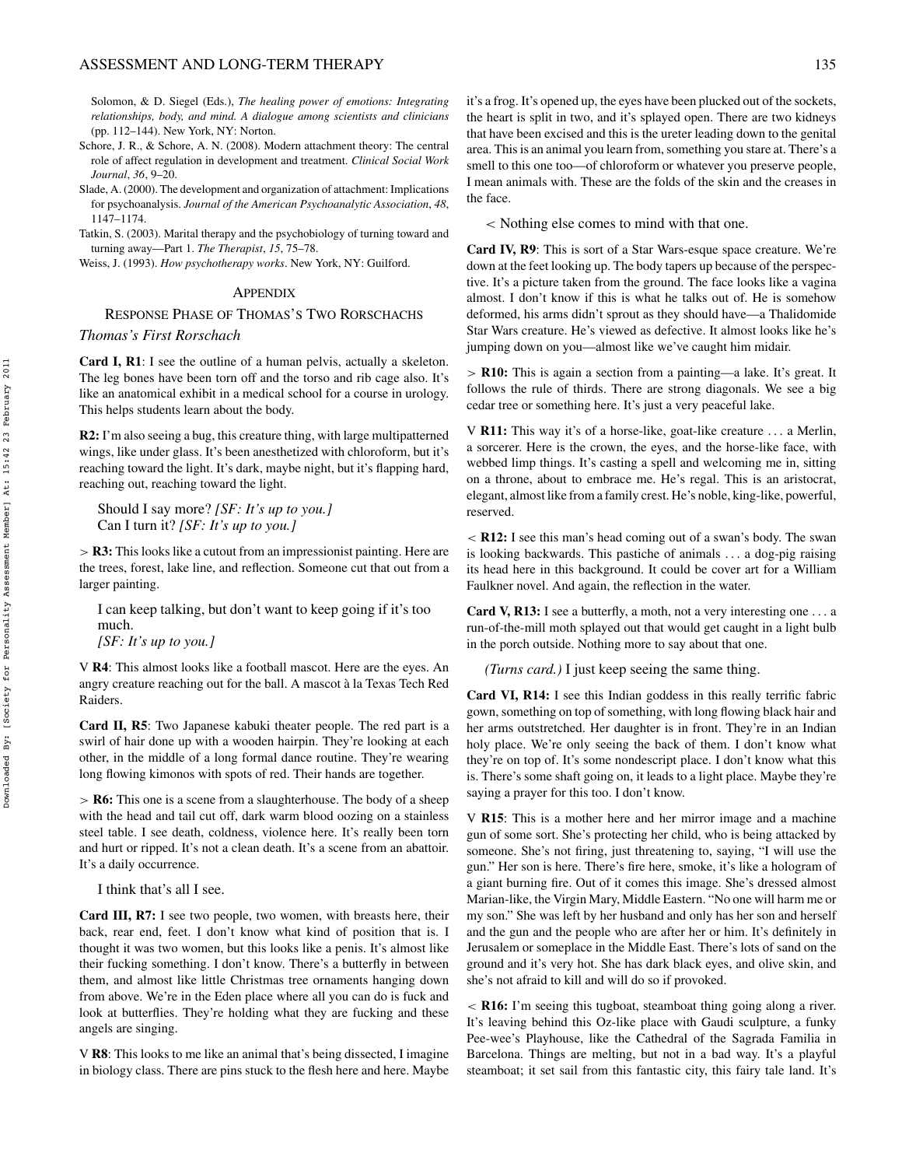Solomon, & D. Siegel (Eds.), *The healing power of emotions: Integrating relationships, body, and mind. A dialogue among scientists and clinicians* (pp. 112–144). New York, NY: Norton.

- Schore, J. R., & Schore, A. N. (2008). Modern attachment theory: The central role of affect regulation in development and treatment. *Clinical Social Work Journal*, *36*, 9–20.
- Slade, A. (2000). The development and organization of attachment: Implications for psychoanalysis. *Journal of the American Psychoanalytic Association*, *48*, 1147–1174.
- Tatkin, S. (2003). Marital therapy and the psychobiology of turning toward and turning away—Part 1. *The Therapist*, *15*, 75–78.

Weiss, J. (1993). *How psychotherapy works*. New York, NY: Guilford.

# **APPENDIX**

## RESPONSE PHASE OF THOMAS'S TWO RORSCHACHS

#### *Thomas's First Rorschach*

**Card I, R1**: I see the outline of a human pelvis, actually a skeleton. The leg bones have been torn off and the torso and rib cage also. It's like an anatomical exhibit in a medical school for a course in urology. This helps students learn about the body.

**R2:** I'm also seeing a bug, this creature thing, with large multipatterned wings, like under glass. It's been anesthetized with chloroform, but it's reaching toward the light. It's dark, maybe night, but it's flapping hard, reaching out, reaching toward the light.

Should I say more? *[SF: It's up to you.]* Can I turn it? *[SF: It's up to you.]*

*>* **R3:** This looks like a cutout from an impressionist painting. Here are the trees, forest, lake line, and reflection. Someone cut that out from a larger painting.

I can keep talking, but don't want to keep going if it's too much.

*[SF: It's up to you.]*

V **R4**: This almost looks like a football mascot. Here are the eyes. An angry creature reaching out for the ball. A mascot à la Texas Tech Red Raiders.

**Card II, R5**: Two Japanese kabuki theater people. The red part is a swirl of hair done up with a wooden hairpin. They're looking at each other, in the middle of a long formal dance routine. They're wearing long flowing kimonos with spots of red. Their hands are together.

*>* **R6:** This one is a scene from a slaughterhouse. The body of a sheep with the head and tail cut off, dark warm blood oozing on a stainless steel table. I see death, coldness, violence here. It's really been torn and hurt or ripped. It's not a clean death. It's a scene from an abattoir. It's a daily occurrence.

I think that's all I see.

**Card III, R7:** I see two people, two women, with breasts here, their back, rear end, feet. I don't know what kind of position that is. I thought it was two women, but this looks like a penis. It's almost like their fucking something. I don't know. There's a butterfly in between them, and almost like little Christmas tree ornaments hanging down from above. We're in the Eden place where all you can do is fuck and look at butterflies. They're holding what they are fucking and these angels are singing.

V **R8**: This looks to me like an animal that's being dissected, I imagine in biology class. There are pins stuck to the flesh here and here. Maybe it's a frog. It's opened up, the eyes have been plucked out of the sockets, the heart is split in two, and it's splayed open. There are two kidneys that have been excised and this is the ureter leading down to the genital area. This is an animal you learn from, something you stare at. There's a smell to this one too—of chloroform or whatever you preserve people, I mean animals with. These are the folds of the skin and the creases in the face.

*<* Nothing else comes to mind with that one.

**Card IV, R9**: This is sort of a Star Wars-esque space creature. We're down at the feet looking up. The body tapers up because of the perspective. It's a picture taken from the ground. The face looks like a vagina almost. I don't know if this is what he talks out of. He is somehow deformed, his arms didn't sprout as they should have—a Thalidomide Star Wars creature. He's viewed as defective. It almost looks like he's jumping down on you—almost like we've caught him midair.

*>* **R10:** This is again a section from a painting—a lake. It's great. It follows the rule of thirds. There are strong diagonals. We see a big cedar tree or something here. It's just a very peaceful lake.

V **R11:** This way it's of a horse-like, goat-like creature *...* a Merlin, a sorcerer. Here is the crown, the eyes, and the horse-like face, with webbed limp things. It's casting a spell and welcoming me in, sitting on a throne, about to embrace me. He's regal. This is an aristocrat, elegant, almost like from a family crest. He's noble, king-like, powerful, reserved.

*<* **R12:** I see this man's head coming out of a swan's body. The swan is looking backwards. This pastiche of animals *...* a dog-pig raising its head here in this background. It could be cover art for a William Faulkner novel. And again, the reflection in the water.

**Card V, R13:** I see a butterfly, a moth, not a very interesting one *...* a run-of-the-mill moth splayed out that would get caught in a light bulb in the porch outside. Nothing more to say about that one.

*(Turns card.)* I just keep seeing the same thing.

**Card VI, R14:** I see this Indian goddess in this really terrific fabric gown, something on top of something, with long flowing black hair and her arms outstretched. Her daughter is in front. They're in an Indian holy place. We're only seeing the back of them. I don't know what they're on top of. It's some nondescript place. I don't know what this is. There's some shaft going on, it leads to a light place. Maybe they're saying a prayer for this too. I don't know.

V **R15**: This is a mother here and her mirror image and a machine gun of some sort. She's protecting her child, who is being attacked by someone. She's not firing, just threatening to, saying, "I will use the gun." Her son is here. There's fire here, smoke, it's like a hologram of a giant burning fire. Out of it comes this image. She's dressed almost Marian-like, the Virgin Mary, Middle Eastern. "No one will harm me or my son." She was left by her husband and only has her son and herself and the gun and the people who are after her or him. It's definitely in Jerusalem or someplace in the Middle East. There's lots of sand on the ground and it's very hot. She has dark black eyes, and olive skin, and she's not afraid to kill and will do so if provoked.

*<* **R16:** I'm seeing this tugboat, steamboat thing going along a river. It's leaving behind this Oz-like place with Gaudi sculpture, a funky Pee-wee's Playhouse, like the Cathedral of the Sagrada Familia in Barcelona. Things are melting, but not in a bad way. It's a playful steamboat; it set sail from this fantastic city, this fairy tale land. It's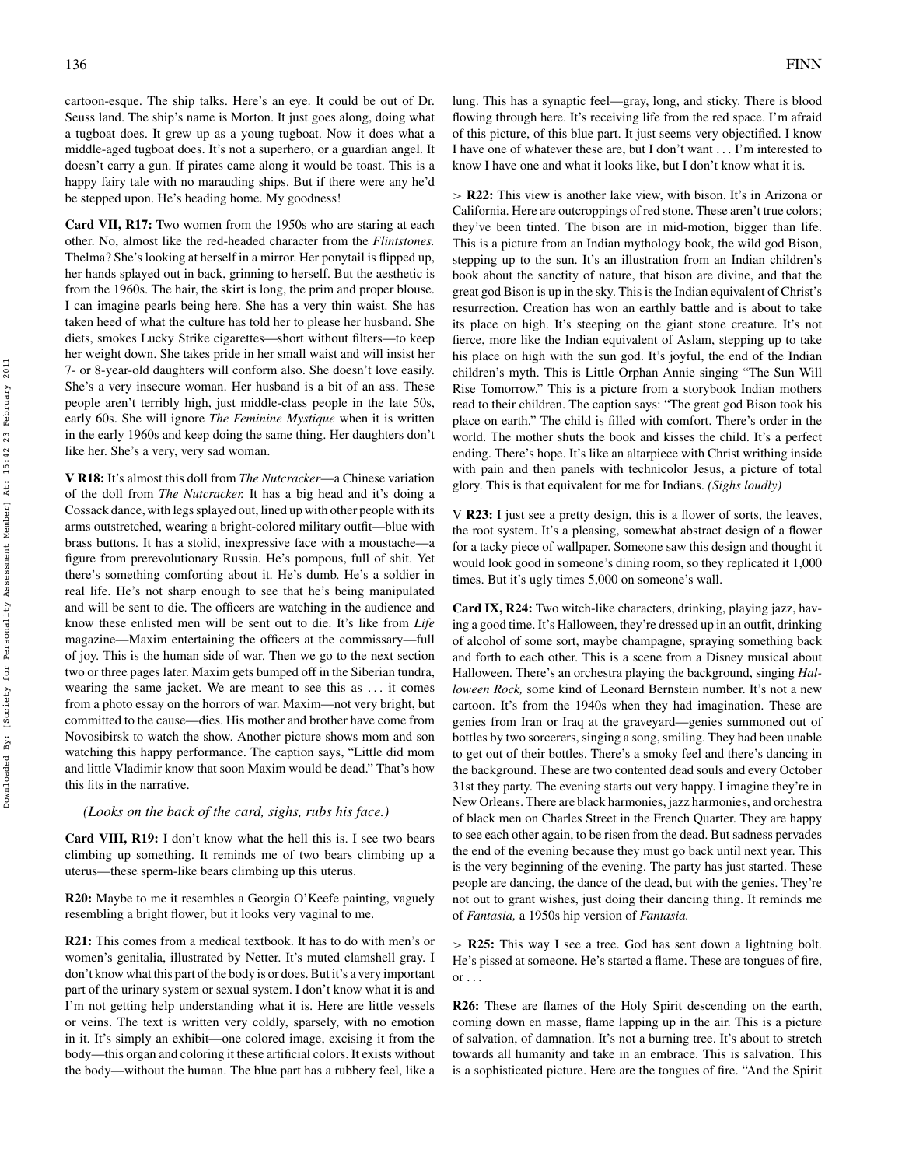cartoon-esque. The ship talks. Here's an eye. It could be out of Dr. Seuss land. The ship's name is Morton. It just goes along, doing what a tugboat does. It grew up as a young tugboat. Now it does what a middle-aged tugboat does. It's not a superhero, or a guardian angel. It doesn't carry a gun. If pirates came along it would be toast. This is a happy fairy tale with no marauding ships. But if there were any he'd be stepped upon. He's heading home. My goodness!

**Card VII, R17:** Two women from the 1950s who are staring at each other. No, almost like the red-headed character from the *Flintstones.* Thelma? She's looking at herself in a mirror. Her ponytail is flipped up, her hands splayed out in back, grinning to herself. But the aesthetic is from the 1960s. The hair, the skirt is long, the prim and proper blouse. I can imagine pearls being here. She has a very thin waist. She has taken heed of what the culture has told her to please her husband. She diets, smokes Lucky Strike cigarettes—short without filters—to keep her weight down. She takes pride in her small waist and will insist her 7- or 8-year-old daughters will conform also. She doesn't love easily. She's a very insecure woman. Her husband is a bit of an ass. These people aren't terribly high, just middle-class people in the late 50s, early 60s. She will ignore *The Feminine Mystique* when it is written in the early 1960s and keep doing the same thing. Her daughters don't like her. She's a very, very sad woman.

**V R18:** It's almost this doll from *The Nutcracker*—a Chinese variation of the doll from *The Nutcracker.* It has a big head and it's doing a Cossack dance, with legs splayed out, lined up with other people with its arms outstretched, wearing a bright-colored military outfit—blue with brass buttons. It has a stolid, inexpressive face with a moustache—a figure from prerevolutionary Russia. He's pompous, full of shit. Yet there's something comforting about it. He's dumb. He's a soldier in real life. He's not sharp enough to see that he's being manipulated and will be sent to die. The officers are watching in the audience and know these enlisted men will be sent out to die. It's like from *Life* magazine—Maxim entertaining the officers at the commissary—full of joy. This is the human side of war. Then we go to the next section two or three pages later. Maxim gets bumped off in the Siberian tundra, wearing the same jacket. We are meant to see this as *...* it comes from a photo essay on the horrors of war. Maxim—not very bright, but committed to the cause—dies. His mother and brother have come from Novosibirsk to watch the show. Another picture shows mom and son watching this happy performance. The caption says, "Little did mom and little Vladimir know that soon Maxim would be dead." That's how this fits in the narrative.

#### *(Looks on the back of the card, sighs, rubs his face.)*

**Card VIII, R19:** I don't know what the hell this is. I see two bears climbing up something. It reminds me of two bears climbing up a uterus—these sperm-like bears climbing up this uterus.

**R20:** Maybe to me it resembles a Georgia O'Keefe painting, vaguely resembling a bright flower, but it looks very vaginal to me.

**R21:** This comes from a medical textbook. It has to do with men's or women's genitalia, illustrated by Netter. It's muted clamshell gray. I don't know what this part of the body is or does. But it's a very important part of the urinary system or sexual system. I don't know what it is and I'm not getting help understanding what it is. Here are little vessels or veins. The text is written very coldly, sparsely, with no emotion in it. It's simply an exhibit—one colored image, excising it from the body—this organ and coloring it these artificial colors. It exists without the body—without the human. The blue part has a rubbery feel, like a lung. This has a synaptic feel—gray, long, and sticky. There is blood flowing through here. It's receiving life from the red space. I'm afraid of this picture, of this blue part. It just seems very objectified. I know I have one of whatever these are, but I don't want *...* I'm interested to know I have one and what it looks like, but I don't know what it is.

*>* **R22:** This view is another lake view, with bison. It's in Arizona or California. Here are outcroppings of red stone. These aren't true colors; they've been tinted. The bison are in mid-motion, bigger than life. This is a picture from an Indian mythology book, the wild god Bison, stepping up to the sun. It's an illustration from an Indian children's book about the sanctity of nature, that bison are divine, and that the great god Bison is up in the sky. This is the Indian equivalent of Christ's resurrection. Creation has won an earthly battle and is about to take its place on high. It's steeping on the giant stone creature. It's not fierce, more like the Indian equivalent of Aslam, stepping up to take his place on high with the sun god. It's joyful, the end of the Indian children's myth. This is Little Orphan Annie singing "The Sun Will Rise Tomorrow." This is a picture from a storybook Indian mothers read to their children. The caption says: "The great god Bison took his place on earth." The child is filled with comfort. There's order in the world. The mother shuts the book and kisses the child. It's a perfect ending. There's hope. It's like an altarpiece with Christ writhing inside with pain and then panels with technicolor Jesus, a picture of total glory. This is that equivalent for me for Indians. *(Sighs loudly)*

V **R23:** I just see a pretty design, this is a flower of sorts, the leaves, the root system. It's a pleasing, somewhat abstract design of a flower for a tacky piece of wallpaper. Someone saw this design and thought it would look good in someone's dining room, so they replicated it 1,000 times. But it's ugly times 5,000 on someone's wall.

**Card IX, R24:** Two witch-like characters, drinking, playing jazz, having a good time. It's Halloween, they're dressed up in an outfit, drinking of alcohol of some sort, maybe champagne, spraying something back and forth to each other. This is a scene from a Disney musical about Halloween. There's an orchestra playing the background, singing *Halloween Rock,* some kind of Leonard Bernstein number. It's not a new cartoon. It's from the 1940s when they had imagination. These are genies from Iran or Iraq at the graveyard—genies summoned out of bottles by two sorcerers, singing a song, smiling. They had been unable to get out of their bottles. There's a smoky feel and there's dancing in the background. These are two contented dead souls and every October 31st they party. The evening starts out very happy. I imagine they're in New Orleans. There are black harmonies, jazz harmonies, and orchestra of black men on Charles Street in the French Quarter. They are happy to see each other again, to be risen from the dead. But sadness pervades the end of the evening because they must go back until next year. This is the very beginning of the evening. The party has just started. These people are dancing, the dance of the dead, but with the genies. They're not out to grant wishes, just doing their dancing thing. It reminds me of *Fantasia,* a 1950s hip version of *Fantasia.*

*>* **R25:** This way I see a tree. God has sent down a lightning bolt. He's pissed at someone. He's started a flame. These are tongues of fire, or *...*

**R26:** These are flames of the Holy Spirit descending on the earth, coming down en masse, flame lapping up in the air. This is a picture of salvation, of damnation. It's not a burning tree. It's about to stretch towards all humanity and take in an embrace. This is salvation. This is a sophisticated picture. Here are the tongues of fire. "And the Spirit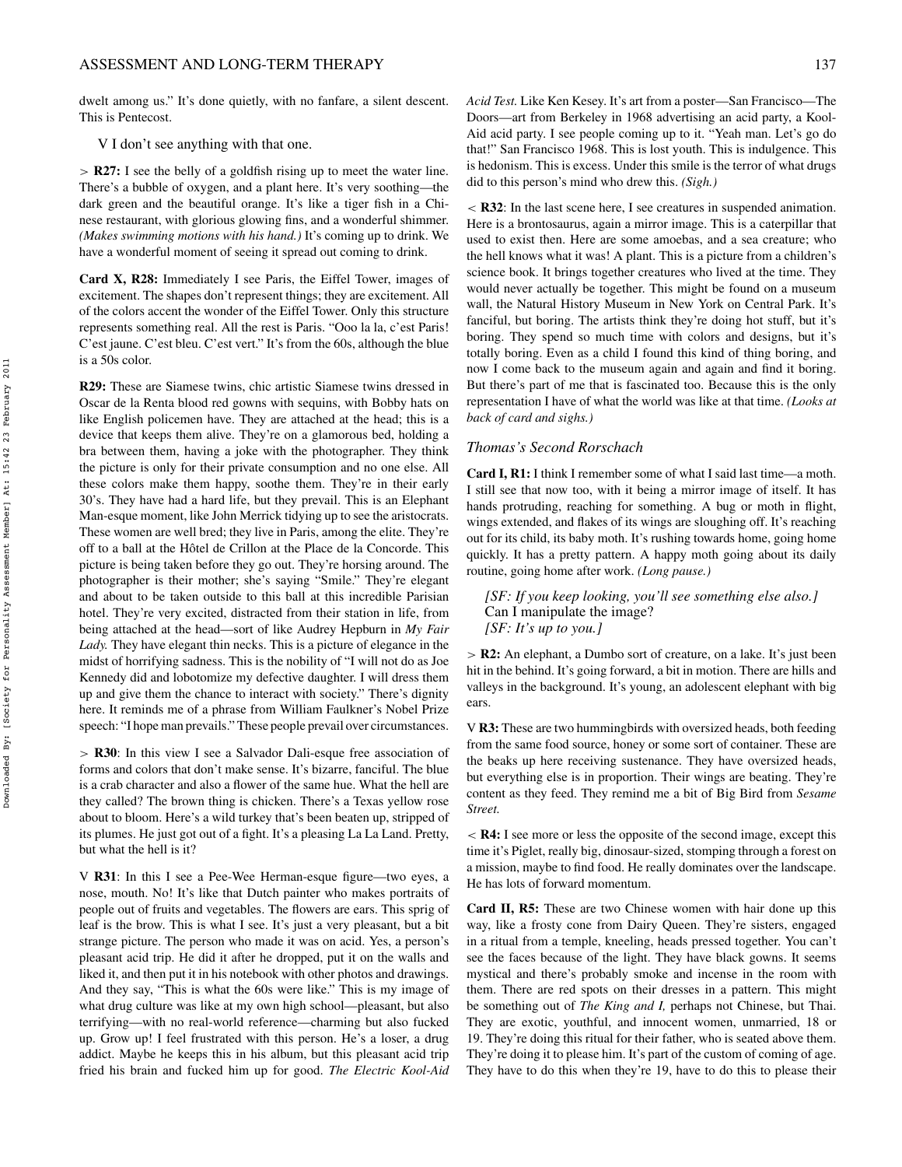dwelt among us." It's done quietly, with no fanfare, a silent descent. This is Pentecost.

V I don't see anything with that one.

*>* **R27:** I see the belly of a goldfish rising up to meet the water line. There's a bubble of oxygen, and a plant here. It's very soothing—the dark green and the beautiful orange. It's like a tiger fish in a Chinese restaurant, with glorious glowing fins, and a wonderful shimmer. *(Makes swimming motions with his hand.)* It's coming up to drink. We have a wonderful moment of seeing it spread out coming to drink.

**Card X, R28:** Immediately I see Paris, the Eiffel Tower, images of excitement. The shapes don't represent things; they are excitement. All of the colors accent the wonder of the Eiffel Tower. Only this structure represents something real. All the rest is Paris. "Ooo la la, c'est Paris! C'est jaune. C'est bleu. C'est vert." It's from the 60s, although the blue is a 50s color.

**R29:** These are Siamese twins, chic artistic Siamese twins dressed in Oscar de la Renta blood red gowns with sequins, with Bobby hats on like English policemen have. They are attached at the head; this is a device that keeps them alive. They're on a glamorous bed, holding a bra between them, having a joke with the photographer. They think the picture is only for their private consumption and no one else. All these colors make them happy, soothe them. They're in their early 30's. They have had a hard life, but they prevail. This is an Elephant Man-esque moment, like John Merrick tidying up to see the aristocrats. These women are well bred; they live in Paris, among the elite. They're off to a ball at the Hôtel de Crillon at the Place de la Concorde. This picture is being taken before they go out. They're horsing around. The photographer is their mother; she's saying "Smile." They're elegant and about to be taken outside to this ball at this incredible Parisian hotel. They're very excited, distracted from their station in life, from being attached at the head—sort of like Audrey Hepburn in *My Fair Lady.* They have elegant thin necks. This is a picture of elegance in the midst of horrifying sadness. This is the nobility of "I will not do as Joe Kennedy did and lobotomize my defective daughter. I will dress them up and give them the chance to interact with society." There's dignity here. It reminds me of a phrase from William Faulkner's Nobel Prize speech: "I hope man prevails." These people prevail over circumstances.

*>* **R30**: In this view I see a Salvador Dali-esque free association of forms and colors that don't make sense. It's bizarre, fanciful. The blue is a crab character and also a flower of the same hue. What the hell are they called? The brown thing is chicken. There's a Texas yellow rose about to bloom. Here's a wild turkey that's been beaten up, stripped of its plumes. He just got out of a fight. It's a pleasing La La Land. Pretty, but what the hell is it?

V **R31**: In this I see a Pee-Wee Herman-esque figure—two eyes, a nose, mouth. No! It's like that Dutch painter who makes portraits of people out of fruits and vegetables. The flowers are ears. This sprig of leaf is the brow. This is what I see. It's just a very pleasant, but a bit strange picture. The person who made it was on acid. Yes, a person's pleasant acid trip. He did it after he dropped, put it on the walls and liked it, and then put it in his notebook with other photos and drawings. And they say, "This is what the 60s were like." This is my image of what drug culture was like at my own high school—pleasant, but also terrifying—with no real-world reference—charming but also fucked up. Grow up! I feel frustrated with this person. He's a loser, a drug addict. Maybe he keeps this in his album, but this pleasant acid trip fried his brain and fucked him up for good. *The Electric Kool-Aid* *Acid Test.* Like Ken Kesey. It's art from a poster—San Francisco—The Doors—art from Berkeley in 1968 advertising an acid party, a Kool-Aid acid party. I see people coming up to it. "Yeah man. Let's go do that!" San Francisco 1968. This is lost youth. This is indulgence. This is hedonism. This is excess. Under this smile is the terror of what drugs did to this person's mind who drew this. *(Sigh.)*

*<* **R32**: In the last scene here, I see creatures in suspended animation. Here is a brontosaurus, again a mirror image. This is a caterpillar that used to exist then. Here are some amoebas, and a sea creature; who the hell knows what it was! A plant. This is a picture from a children's science book. It brings together creatures who lived at the time. They would never actually be together. This might be found on a museum wall, the Natural History Museum in New York on Central Park. It's fanciful, but boring. The artists think they're doing hot stuff, but it's boring. They spend so much time with colors and designs, but it's totally boring. Even as a child I found this kind of thing boring, and now I come back to the museum again and again and find it boring. But there's part of me that is fascinated too. Because this is the only representation I have of what the world was like at that time. *(Looks at back of card and sighs.)*

# *Thomas's Second Rorschach*

**Card I, R1:** I think I remember some of what I said last time—a moth. I still see that now too, with it being a mirror image of itself. It has hands protruding, reaching for something. A bug or moth in flight, wings extended, and flakes of its wings are sloughing off. It's reaching out for its child, its baby moth. It's rushing towards home, going home quickly. It has a pretty pattern. A happy moth going about its daily routine, going home after work. *(Long pause.)*

*[SF: If you keep looking, you'll see something else also.]* Can I manipulate the image? *[SF: It's up to you.]*

*>* **R2:** An elephant, a Dumbo sort of creature, on a lake. It's just been hit in the behind. It's going forward, a bit in motion. There are hills and valleys in the background. It's young, an adolescent elephant with big ears.

V **R3:** These are two hummingbirds with oversized heads, both feeding from the same food source, honey or some sort of container. These are the beaks up here receiving sustenance. They have oversized heads, but everything else is in proportion. Their wings are beating. They're content as they feed. They remind me a bit of Big Bird from *Sesame Street.*

*<* **R4:** I see more or less the opposite of the second image, except this time it's Piglet, really big, dinosaur-sized, stomping through a forest on a mission, maybe to find food. He really dominates over the landscape. He has lots of forward momentum.

**Card II, R5:** These are two Chinese women with hair done up this way, like a frosty cone from Dairy Queen. They're sisters, engaged in a ritual from a temple, kneeling, heads pressed together. You can't see the faces because of the light. They have black gowns. It seems mystical and there's probably smoke and incense in the room with them. There are red spots on their dresses in a pattern. This might be something out of *The King and I,* perhaps not Chinese, but Thai. They are exotic, youthful, and innocent women, unmarried, 18 or 19. They're doing this ritual for their father, who is seated above them. They're doing it to please him. It's part of the custom of coming of age. They have to do this when they're 19, have to do this to please their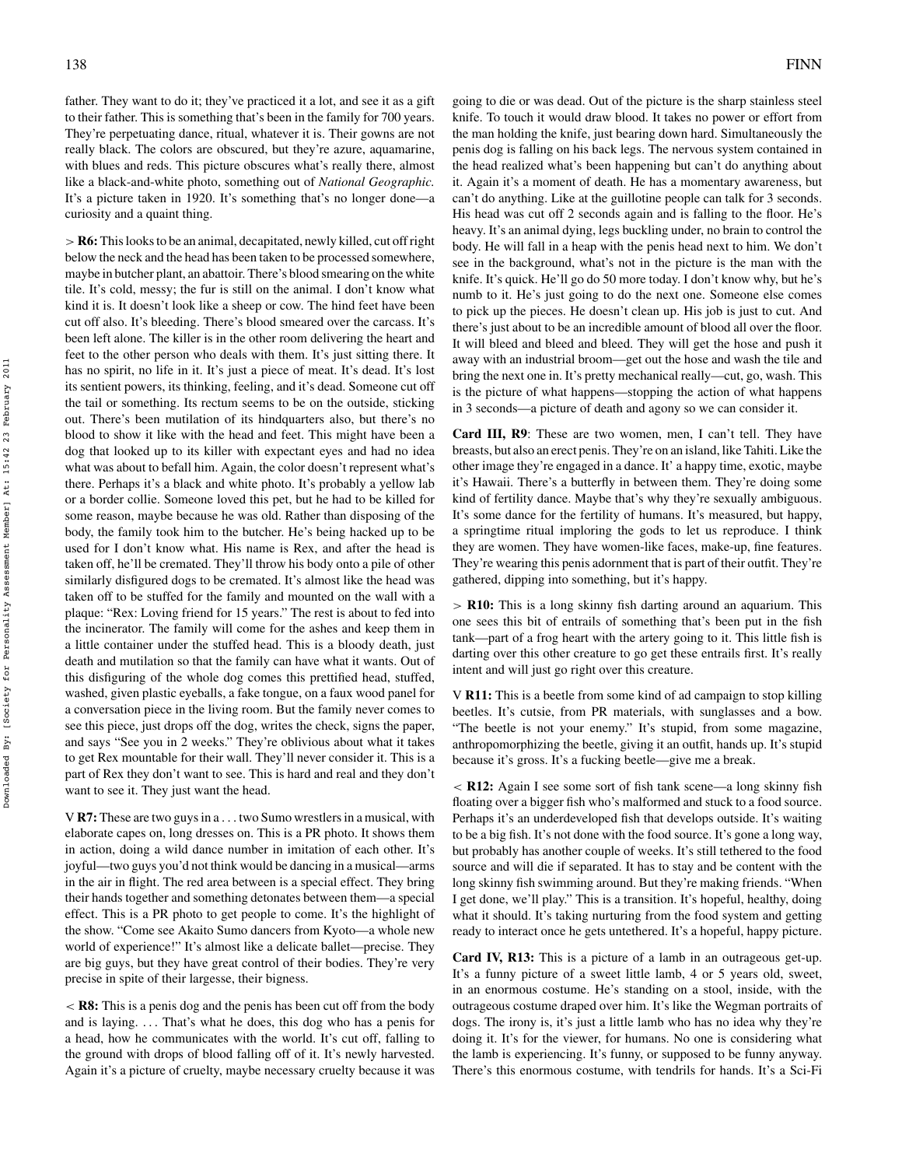father. They want to do it; they've practiced it a lot, and see it as a gift to their father. This is something that's been in the family for 700 years. They're perpetuating dance, ritual, whatever it is. Their gowns are not really black. The colors are obscured, but they're azure, aquamarine, with blues and reds. This picture obscures what's really there, almost like a black-and-white photo, something out of *National Geographic.* It's a picture taken in 1920. It's something that's no longer done—a curiosity and a quaint thing.

*>* **R6:** This looks to be an animal, decapitated, newly killed, cut off right below the neck and the head has been taken to be processed somewhere, maybe in butcher plant, an abattoir. There's blood smearing on the white tile. It's cold, messy; the fur is still on the animal. I don't know what kind it is. It doesn't look like a sheep or cow. The hind feet have been cut off also. It's bleeding. There's blood smeared over the carcass. It's been left alone. The killer is in the other room delivering the heart and feet to the other person who deals with them. It's just sitting there. It has no spirit, no life in it. It's just a piece of meat. It's dead. It's lost its sentient powers, its thinking, feeling, and it's dead. Someone cut off the tail or something. Its rectum seems to be on the outside, sticking out. There's been mutilation of its hindquarters also, but there's no blood to show it like with the head and feet. This might have been a dog that looked up to its killer with expectant eyes and had no idea what was about to befall him. Again, the color doesn't represent what's there. Perhaps it's a black and white photo. It's probably a yellow lab or a border collie. Someone loved this pet, but he had to be killed for some reason, maybe because he was old. Rather than disposing of the body, the family took him to the butcher. He's being hacked up to be used for I don't know what. His name is Rex, and after the head is taken off, he'll be cremated. They'll throw his body onto a pile of other similarly disfigured dogs to be cremated. It's almost like the head was taken off to be stuffed for the family and mounted on the wall with a plaque: "Rex: Loving friend for 15 years." The rest is about to fed into the incinerator. The family will come for the ashes and keep them in a little container under the stuffed head. This is a bloody death, just death and mutilation so that the family can have what it wants. Out of this disfiguring of the whole dog comes this prettified head, stuffed, washed, given plastic eyeballs, a fake tongue, on a faux wood panel for a conversation piece in the living room. But the family never comes to see this piece, just drops off the dog, writes the check, signs the paper, and says "See you in 2 weeks." They're oblivious about what it takes to get Rex mountable for their wall. They'll never consider it. This is a part of Rex they don't want to see. This is hard and real and they don't want to see it. They just want the head.

V **R7:** These are two guys in a *...* two Sumo wrestlers in a musical, with elaborate capes on, long dresses on. This is a PR photo. It shows them in action, doing a wild dance number in imitation of each other. It's joyful—two guys you'd not think would be dancing in a musical—arms in the air in flight. The red area between is a special effect. They bring their hands together and something detonates between them—a special effect. This is a PR photo to get people to come. It's the highlight of the show. "Come see Akaito Sumo dancers from Kyoto—a whole new world of experience!" It's almost like a delicate ballet—precise. They are big guys, but they have great control of their bodies. They're very precise in spite of their largesse, their bigness.

*<* **R8:** This is a penis dog and the penis has been cut off from the body and is laying. *...* That's what he does, this dog who has a penis for a head, how he communicates with the world. It's cut off, falling to the ground with drops of blood falling off of it. It's newly harvested. Again it's a picture of cruelty, maybe necessary cruelty because it was going to die or was dead. Out of the picture is the sharp stainless steel knife. To touch it would draw blood. It takes no power or effort from the man holding the knife, just bearing down hard. Simultaneously the penis dog is falling on his back legs. The nervous system contained in the head realized what's been happening but can't do anything about it. Again it's a moment of death. He has a momentary awareness, but can't do anything. Like at the guillotine people can talk for 3 seconds. His head was cut off 2 seconds again and is falling to the floor. He's heavy. It's an animal dying, legs buckling under, no brain to control the body. He will fall in a heap with the penis head next to him. We don't see in the background, what's not in the picture is the man with the knife. It's quick. He'll go do 50 more today. I don't know why, but he's numb to it. He's just going to do the next one. Someone else comes to pick up the pieces. He doesn't clean up. His job is just to cut. And there's just about to be an incredible amount of blood all over the floor. It will bleed and bleed and bleed. They will get the hose and push it away with an industrial broom—get out the hose and wash the tile and bring the next one in. It's pretty mechanical really—cut, go, wash. This is the picture of what happens—stopping the action of what happens in 3 seconds—a picture of death and agony so we can consider it.

**Card III, R9**: These are two women, men, I can't tell. They have breasts, but also an erect penis. They're on an island, like Tahiti. Like the other image they're engaged in a dance. It' a happy time, exotic, maybe it's Hawaii. There's a butterfly in between them. They're doing some kind of fertility dance. Maybe that's why they're sexually ambiguous. It's some dance for the fertility of humans. It's measured, but happy, a springtime ritual imploring the gods to let us reproduce. I think they are women. They have women-like faces, make-up, fine features. They're wearing this penis adornment that is part of their outfit. They're gathered, dipping into something, but it's happy.

*>* **R10:** This is a long skinny fish darting around an aquarium. This one sees this bit of entrails of something that's been put in the fish tank—part of a frog heart with the artery going to it. This little fish is darting over this other creature to go get these entrails first. It's really intent and will just go right over this creature.

V **R11:** This is a beetle from some kind of ad campaign to stop killing beetles. It's cutsie, from PR materials, with sunglasses and a bow. "The beetle is not your enemy." It's stupid, from some magazine, anthropomorphizing the beetle, giving it an outfit, hands up. It's stupid because it's gross. It's a fucking beetle—give me a break.

*<* **R12:** Again I see some sort of fish tank scene—a long skinny fish floating over a bigger fish who's malformed and stuck to a food source. Perhaps it's an underdeveloped fish that develops outside. It's waiting to be a big fish. It's not done with the food source. It's gone a long way, but probably has another couple of weeks. It's still tethered to the food source and will die if separated. It has to stay and be content with the long skinny fish swimming around. But they're making friends. "When I get done, we'll play." This is a transition. It's hopeful, healthy, doing what it should. It's taking nurturing from the food system and getting ready to interact once he gets untethered. It's a hopeful, happy picture.

**Card IV, R13:** This is a picture of a lamb in an outrageous get-up. It's a funny picture of a sweet little lamb, 4 or 5 years old, sweet, in an enormous costume. He's standing on a stool, inside, with the outrageous costume draped over him. It's like the Wegman portraits of dogs. The irony is, it's just a little lamb who has no idea why they're doing it. It's for the viewer, for humans. No one is considering what the lamb is experiencing. It's funny, or supposed to be funny anyway. There's this enormous costume, with tendrils for hands. It's a Sci-Fi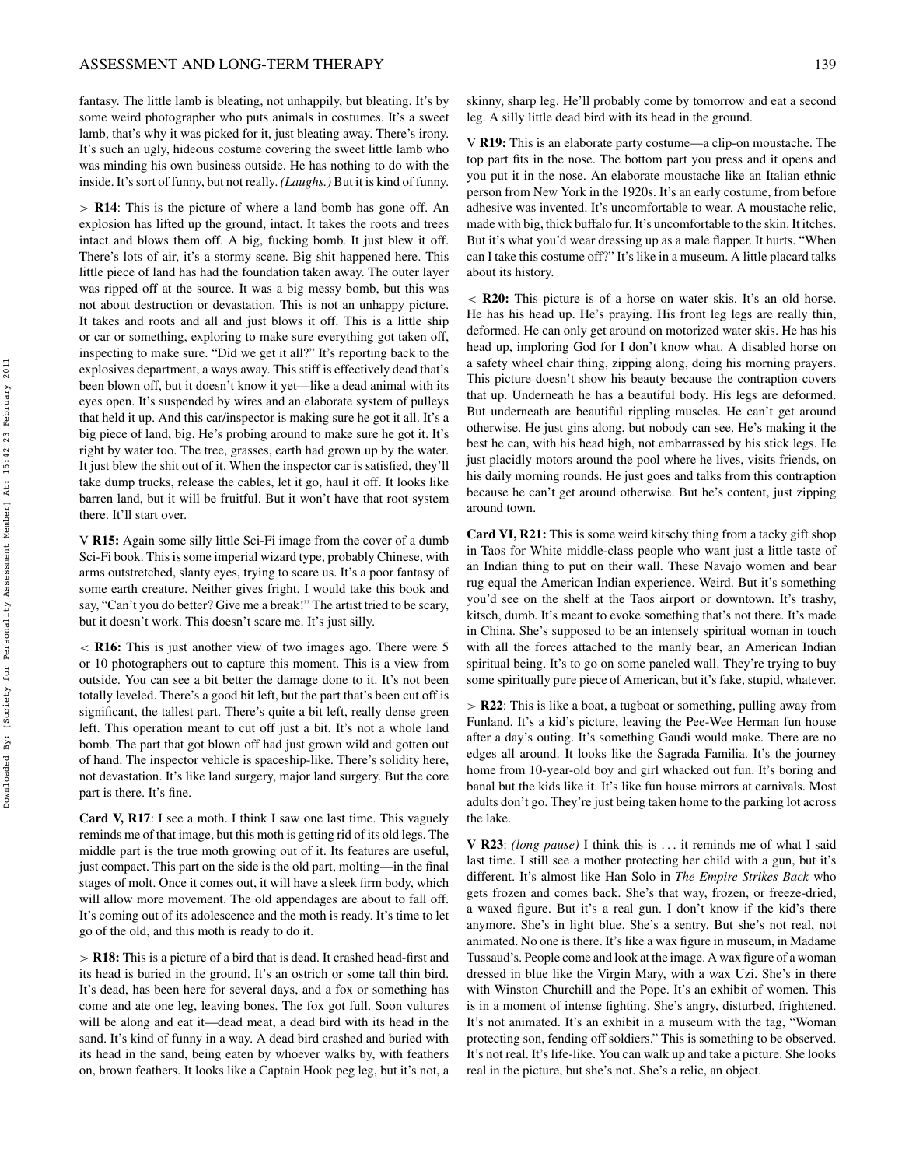# ASSESSMENT AND LONG-TERM THERAPY 139

fantasy. The little lamb is bleating, not unhappily, but bleating. It's by some weird photographer who puts animals in costumes. It's a sweet lamb, that's why it was picked for it, just bleating away. There's irony. It's such an ugly, hideous costume covering the sweet little lamb who was minding his own business outside. He has nothing to do with the inside. It's sort of funny, but not really. *(Laughs.)* But it is kind of funny.

*>* **R14**: This is the picture of where a land bomb has gone off. An explosion has lifted up the ground, intact. It takes the roots and trees intact and blows them off. A big, fucking bomb. It just blew it off. There's lots of air, it's a stormy scene. Big shit happened here. This little piece of land has had the foundation taken away. The outer layer was ripped off at the source. It was a big messy bomb, but this was not about destruction or devastation. This is not an unhappy picture. It takes and roots and all and just blows it off. This is a little ship or car or something, exploring to make sure everything got taken off, inspecting to make sure. "Did we get it all?" It's reporting back to the explosives department, a ways away. This stiff is effectively dead that's been blown off, but it doesn't know it yet—like a dead animal with its eyes open. It's suspended by wires and an elaborate system of pulleys that held it up. And this car/inspector is making sure he got it all. It's a big piece of land, big. He's probing around to make sure he got it. It's right by water too. The tree, grasses, earth had grown up by the water. It just blew the shit out of it. When the inspector car is satisfied, they'll take dump trucks, release the cables, let it go, haul it off. It looks like barren land, but it will be fruitful. But it won't have that root system there. It'll start over.

V **R15:** Again some silly little Sci-Fi image from the cover of a dumb Sci-Fi book. This is some imperial wizard type, probably Chinese, with arms outstretched, slanty eyes, trying to scare us. It's a poor fantasy of some earth creature. Neither gives fright. I would take this book and say, "Can't you do better? Give me a break!" The artist tried to be scary, but it doesn't work. This doesn't scare me. It's just silly.

*<* **R16:** This is just another view of two images ago. There were 5 or 10 photographers out to capture this moment. This is a view from outside. You can see a bit better the damage done to it. It's not been totally leveled. There's a good bit left, but the part that's been cut off is significant, the tallest part. There's quite a bit left, really dense green left. This operation meant to cut off just a bit. It's not a whole land bomb. The part that got blown off had just grown wild and gotten out of hand. The inspector vehicle is spaceship-like. There's solidity here, not devastation. It's like land surgery, major land surgery. But the core part is there. It's fine.

**Card V, R17**: I see a moth. I think I saw one last time. This vaguely reminds me of that image, but this moth is getting rid of its old legs. The middle part is the true moth growing out of it. Its features are useful, just compact. This part on the side is the old part, molting—in the final stages of molt. Once it comes out, it will have a sleek firm body, which will allow more movement. The old appendages are about to fall off. It's coming out of its adolescence and the moth is ready. It's time to let go of the old, and this moth is ready to do it.

*>* **R18:** This is a picture of a bird that is dead. It crashed head-first and its head is buried in the ground. It's an ostrich or some tall thin bird. It's dead, has been here for several days, and a fox or something has come and ate one leg, leaving bones. The fox got full. Soon vultures will be along and eat it—dead meat, a dead bird with its head in the sand. It's kind of funny in a way. A dead bird crashed and buried with its head in the sand, being eaten by whoever walks by, with feathers on, brown feathers. It looks like a Captain Hook peg leg, but it's not, a skinny, sharp leg. He'll probably come by tomorrow and eat a second leg. A silly little dead bird with its head in the ground.

V **R19:** This is an elaborate party costume—a clip-on moustache. The top part fits in the nose. The bottom part you press and it opens and you put it in the nose. An elaborate moustache like an Italian ethnic person from New York in the 1920s. It's an early costume, from before adhesive was invented. It's uncomfortable to wear. A moustache relic, made with big, thick buffalo fur. It's uncomfortable to the skin. It itches. But it's what you'd wear dressing up as a male flapper. It hurts. "When can I take this costume off?" It's like in a museum. A little placard talks about its history.

*<* **R20:** This picture is of a horse on water skis. It's an old horse. He has his head up. He's praying. His front leg legs are really thin, deformed. He can only get around on motorized water skis. He has his head up, imploring God for I don't know what. A disabled horse on a safety wheel chair thing, zipping along, doing his morning prayers. This picture doesn't show his beauty because the contraption covers that up. Underneath he has a beautiful body. His legs are deformed. But underneath are beautiful rippling muscles. He can't get around otherwise. He just gins along, but nobody can see. He's making it the best he can, with his head high, not embarrassed by his stick legs. He just placidly motors around the pool where he lives, visits friends, on his daily morning rounds. He just goes and talks from this contraption because he can't get around otherwise. But he's content, just zipping around town.

**Card VI, R21:** This is some weird kitschy thing from a tacky gift shop in Taos for White middle-class people who want just a little taste of an Indian thing to put on their wall. These Navajo women and bear rug equal the American Indian experience. Weird. But it's something you'd see on the shelf at the Taos airport or downtown. It's trashy, kitsch, dumb. It's meant to evoke something that's not there. It's made in China. She's supposed to be an intensely spiritual woman in touch with all the forces attached to the manly bear, an American Indian spiritual being. It's to go on some paneled wall. They're trying to buy some spiritually pure piece of American, but it's fake, stupid, whatever.

*>* **R22**: This is like a boat, a tugboat or something, pulling away from Funland. It's a kid's picture, leaving the Pee-Wee Herman fun house after a day's outing. It's something Gaudi would make. There are no edges all around. It looks like the Sagrada Familia. It's the journey home from 10-year-old boy and girl whacked out fun. It's boring and banal but the kids like it. It's like fun house mirrors at carnivals. Most adults don't go. They're just being taken home to the parking lot across the lake.

**V R23**: *(long pause)* I think this is *...* it reminds me of what I said last time. I still see a mother protecting her child with a gun, but it's different. It's almost like Han Solo in *The Empire Strikes Back* who gets frozen and comes back. She's that way, frozen, or freeze-dried, a waxed figure. But it's a real gun. I don't know if the kid's there anymore. She's in light blue. She's a sentry. But she's not real, not animated. No one is there. It's like a wax figure in museum, in Madame Tussaud's. People come and look at the image. A wax figure of a woman dressed in blue like the Virgin Mary, with a wax Uzi. She's in there with Winston Churchill and the Pope. It's an exhibit of women. This is in a moment of intense fighting. She's angry, disturbed, frightened. It's not animated. It's an exhibit in a museum with the tag, "Woman protecting son, fending off soldiers." This is something to be observed. It's not real. It's life-like. You can walk up and take a picture. She looks real in the picture, but she's not. She's a relic, an object.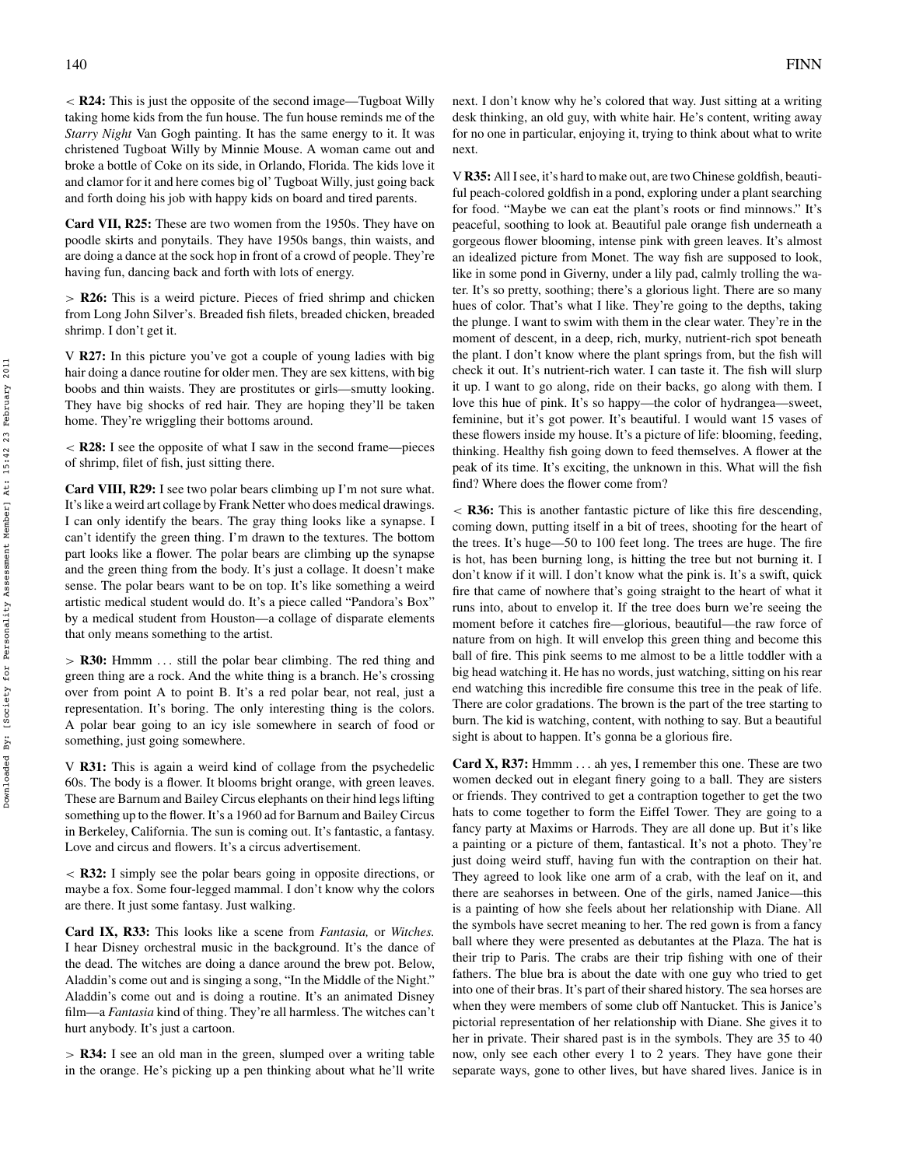*<* **R24:** This is just the opposite of the second image—Tugboat Willy taking home kids from the fun house. The fun house reminds me of the *Starry Night* Van Gogh painting. It has the same energy to it. It was christened Tugboat Willy by Minnie Mouse. A woman came out and broke a bottle of Coke on its side, in Orlando, Florida. The kids love it and clamor for it and here comes big ol' Tugboat Willy, just going back and forth doing his job with happy kids on board and tired parents.

**Card VII, R25:** These are two women from the 1950s. They have on poodle skirts and ponytails. They have 1950s bangs, thin waists, and are doing a dance at the sock hop in front of a crowd of people. They're having fun, dancing back and forth with lots of energy.

*>* **R26:** This is a weird picture. Pieces of fried shrimp and chicken from Long John Silver's. Breaded fish filets, breaded chicken, breaded shrimp. I don't get it.

V **R27:** In this picture you've got a couple of young ladies with big hair doing a dance routine for older men. They are sex kittens, with big boobs and thin waists. They are prostitutes or girls—smutty looking. They have big shocks of red hair. They are hoping they'll be taken home. They're wriggling their bottoms around.

*<* **R28:** I see the opposite of what I saw in the second frame—pieces of shrimp, filet of fish, just sitting there.

**Card VIII, R29:** I see two polar bears climbing up I'm not sure what. It's like a weird art collage by Frank Netter who does medical drawings. I can only identify the bears. The gray thing looks like a synapse. I can't identify the green thing. I'm drawn to the textures. The bottom part looks like a flower. The polar bears are climbing up the synapse and the green thing from the body. It's just a collage. It doesn't make sense. The polar bears want to be on top. It's like something a weird artistic medical student would do. It's a piece called "Pandora's Box" by a medical student from Houston—a collage of disparate elements that only means something to the artist.

*>* **R30:** Hmmm *...* still the polar bear climbing. The red thing and green thing are a rock. And the white thing is a branch. He's crossing over from point A to point B. It's a red polar bear, not real, just a representation. It's boring. The only interesting thing is the colors. A polar bear going to an icy isle somewhere in search of food or something, just going somewhere.

V **R31:** This is again a weird kind of collage from the psychedelic 60s. The body is a flower. It blooms bright orange, with green leaves. These are Barnum and Bailey Circus elephants on their hind legs lifting something up to the flower. It's a 1960 ad for Barnum and Bailey Circus in Berkeley, California. The sun is coming out. It's fantastic, a fantasy. Love and circus and flowers. It's a circus advertisement.

*<* **R32:** I simply see the polar bears going in opposite directions, or maybe a fox. Some four-legged mammal. I don't know why the colors are there. It just some fantasy. Just walking.

**Card IX, R33:** This looks like a scene from *Fantasia,* or *Witches.* I hear Disney orchestral music in the background. It's the dance of the dead. The witches are doing a dance around the brew pot. Below, Aladdin's come out and is singing a song, "In the Middle of the Night." Aladdin's come out and is doing a routine. It's an animated Disney film—a *Fantasia* kind of thing. They're all harmless. The witches can't hurt anybody. It's just a cartoon.

*>* **R34:** I see an old man in the green, slumped over a writing table in the orange. He's picking up a pen thinking about what he'll write next. I don't know why he's colored that way. Just sitting at a writing desk thinking, an old guy, with white hair. He's content, writing away for no one in particular, enjoying it, trying to think about what to write next.

V **R35:** All I see, it's hard to make out, are two Chinese goldfish, beautiful peach-colored goldfish in a pond, exploring under a plant searching for food. "Maybe we can eat the plant's roots or find minnows." It's peaceful, soothing to look at. Beautiful pale orange fish underneath a gorgeous flower blooming, intense pink with green leaves. It's almost an idealized picture from Monet. The way fish are supposed to look, like in some pond in Giverny, under a lily pad, calmly trolling the water. It's so pretty, soothing; there's a glorious light. There are so many hues of color. That's what I like. They're going to the depths, taking the plunge. I want to swim with them in the clear water. They're in the moment of descent, in a deep, rich, murky, nutrient-rich spot beneath the plant. I don't know where the plant springs from, but the fish will check it out. It's nutrient-rich water. I can taste it. The fish will slurp it up. I want to go along, ride on their backs, go along with them. I love this hue of pink. It's so happy—the color of hydrangea—sweet, feminine, but it's got power. It's beautiful. I would want 15 vases of these flowers inside my house. It's a picture of life: blooming, feeding, thinking. Healthy fish going down to feed themselves. A flower at the peak of its time. It's exciting, the unknown in this. What will the fish find? Where does the flower come from?

*<* **R36:** This is another fantastic picture of like this fire descending, coming down, putting itself in a bit of trees, shooting for the heart of the trees. It's huge—50 to 100 feet long. The trees are huge. The fire is hot, has been burning long, is hitting the tree but not burning it. I don't know if it will. I don't know what the pink is. It's a swift, quick fire that came of nowhere that's going straight to the heart of what it runs into, about to envelop it. If the tree does burn we're seeing the moment before it catches fire—glorious, beautiful—the raw force of nature from on high. It will envelop this green thing and become this ball of fire. This pink seems to me almost to be a little toddler with a big head watching it. He has no words, just watching, sitting on his rear end watching this incredible fire consume this tree in the peak of life. There are color gradations. The brown is the part of the tree starting to burn. The kid is watching, content, with nothing to say. But a beautiful sight is about to happen. It's gonna be a glorious fire.

**Card X, R37:** Hmmm *...* ah yes, I remember this one. These are two women decked out in elegant finery going to a ball. They are sisters or friends. They contrived to get a contraption together to get the two hats to come together to form the Eiffel Tower. They are going to a fancy party at Maxims or Harrods. They are all done up. But it's like a painting or a picture of them, fantastical. It's not a photo. They're just doing weird stuff, having fun with the contraption on their hat. They agreed to look like one arm of a crab, with the leaf on it, and there are seahorses in between. One of the girls, named Janice—this is a painting of how she feels about her relationship with Diane. All the symbols have secret meaning to her. The red gown is from a fancy ball where they were presented as debutantes at the Plaza. The hat is their trip to Paris. The crabs are their trip fishing with one of their fathers. The blue bra is about the date with one guy who tried to get into one of their bras. It's part of their shared history. The sea horses are when they were members of some club off Nantucket. This is Janice's pictorial representation of her relationship with Diane. She gives it to her in private. Their shared past is in the symbols. They are 35 to 40 now, only see each other every 1 to 2 years. They have gone their separate ways, gone to other lives, but have shared lives. Janice is in